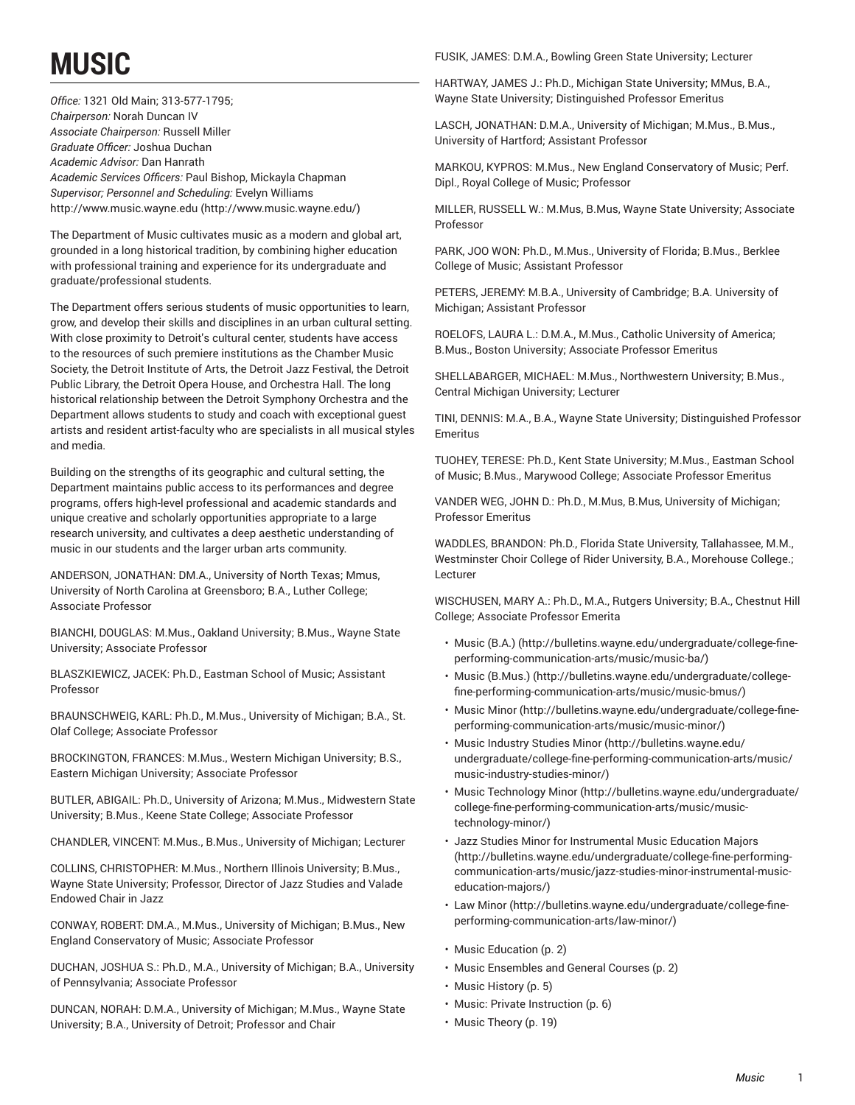# **MUSIC**

*Office:* 1321 Old Main; 313-577-1795; *Chairperson:* Norah Duncan IV *Associate Chairperson:* Russell Miller *Graduate Officer:* Joshua Duchan *Academic Advisor:* Dan Hanrath *Academic Services Officers:* Paul Bishop, Mickayla Chapman *Supervisor; Personnel and Scheduling:* Evelyn Williams [http://www.music.wayne.edu \(http://www.music.wayne.edu/\)](http://www.music.wayne.edu/)

The Department of Music cultivates music as a modern and global art, grounded in a long historical tradition, by combining higher education with professional training and experience for its undergraduate and graduate/professional students.

The Department offers serious students of music opportunities to learn, grow, and develop their skills and disciplines in an urban cultural setting. With close proximity to Detroit's cultural center, students have access to the resources of such premiere institutions as the Chamber Music Society, the Detroit Institute of Arts, the Detroit Jazz Festival, the Detroit Public Library, the Detroit Opera House, and Orchestra Hall. The long historical relationship between the Detroit Symphony Orchestra and the Department allows students to study and coach with exceptional guest artists and resident artist-faculty who are specialists in all musical styles and media.

Building on the strengths of its geographic and cultural setting, the Department maintains public access to its performances and degree programs, offers high-level professional and academic standards and unique creative and scholarly opportunities appropriate to a large research university, and cultivates a deep aesthetic understanding of music in our students and the larger urban arts community.

ANDERSON, JONATHAN: DM.A., University of North Texas; Mmus, University of North Carolina at Greensboro; B.A., Luther College; Associate Professor

BIANCHI, DOUGLAS: M.Mus., Oakland University; B.Mus., Wayne State University; Associate Professor

BLASZKIEWICZ, JACEK: Ph.D., Eastman School of Music; Assistant Professor

BRAUNSCHWEIG, KARL: Ph.D., M.Mus., University of Michigan; B.A., St. Olaf College; Associate Professor

BROCKINGTON, FRANCES: M.Mus., Western Michigan University; B.S., Eastern Michigan University; Associate Professor

BUTLER, ABIGAIL: Ph.D., University of Arizona; M.Mus., Midwestern State University; B.Mus., Keene State College; Associate Professor

CHANDLER, VINCENT: M.Mus., B.Mus., University of Michigan; Lecturer

COLLINS, CHRISTOPHER: M.Mus., Northern Illinois University; B.Mus., Wayne State University; Professor, Director of Jazz Studies and Valade Endowed Chair in Jazz

CONWAY, ROBERT: DM.A., M.Mus., University of Michigan; B.Mus., New England Conservatory of Music; Associate Professor

DUCHAN, JOSHUA S.: Ph.D., M.A., University of Michigan; B.A., University of Pennsylvania; Associate Professor

DUNCAN, NORAH: D.M.A., University of Michigan; M.Mus., Wayne State University; B.A., University of Detroit; Professor and Chair

FUSIK, JAMES: D.M.A., Bowling Green State University; Lecturer

HARTWAY, JAMES J.: Ph.D., Michigan State University; MMus, B.A., Wayne State University; Distinguished Professor Emeritus

LASCH, JONATHAN: D.M.A., University of Michigan; M.Mus., B.Mus., University of Hartford; Assistant Professor

MARKOU, KYPROS: M.Mus., New England Conservatory of Music; Perf. Dipl., Royal College of Music; Professor

MILLER, RUSSELL W.: M.Mus, B.Mus, Wayne State University; Associate Professor

PARK, JOO WON: Ph.D., M.Mus., University of Florida; B.Mus., Berklee College of Music; Assistant Professor

PETERS, JEREMY: M.B.A., University of Cambridge; B.A. University of Michigan; Assistant Professor

ROELOFS, LAURA L.: D.M.A., M.Mus., Catholic University of America; B.Mus., Boston University; Associate Professor Emeritus

SHELLABARGER, MICHAEL: M.Mus., Northwestern University; B.Mus., Central Michigan University; Lecturer

TINI, DENNIS: M.A., B.A., Wayne State University; Distinguished Professor Emeritus

TUOHEY, TERESE: Ph.D., Kent State University; M.Mus., Eastman School of Music; B.Mus., Marywood College; Associate Professor Emeritus

VANDER WEG, JOHN D.: Ph.D., M.Mus, B.Mus, University of Michigan; Professor Emeritus

WADDLES, BRANDON: Ph.D., Florida State University, Tallahassee, M.M., Westminster Choir College of Rider University, B.A., Morehouse College.; Lecturer

WISCHUSEN, MARY A.: Ph.D., M.A., Rutgers University; B.A., Chestnut Hill College; Associate Professor Emerita

- [Music \(B.A.\)](http://bulletins.wayne.edu/undergraduate/college-fine-performing-communication-arts/music/music-ba/) ([http://bulletins.wayne.edu/undergraduate/college-fine](http://bulletins.wayne.edu/undergraduate/college-fine-performing-communication-arts/music/music-ba/)[performing-communication-arts/music/music-ba/\)](http://bulletins.wayne.edu/undergraduate/college-fine-performing-communication-arts/music/music-ba/)
- [Music \(B.Mus.\) \(http://bulletins.wayne.edu/undergraduate/college](http://bulletins.wayne.edu/undergraduate/college-fine-performing-communication-arts/music/music-bmus/)[fine-performing-communication-arts/music/music-bmus/\)](http://bulletins.wayne.edu/undergraduate/college-fine-performing-communication-arts/music/music-bmus/)
- [Music Minor](http://bulletins.wayne.edu/undergraduate/college-fine-performing-communication-arts/music/music-minor/) ([http://bulletins.wayne.edu/undergraduate/college-fine](http://bulletins.wayne.edu/undergraduate/college-fine-performing-communication-arts/music/music-minor/)[performing-communication-arts/music/music-minor/\)](http://bulletins.wayne.edu/undergraduate/college-fine-performing-communication-arts/music/music-minor/)
- Music [Industry](http://bulletins.wayne.edu/undergraduate/college-fine-performing-communication-arts/music/music-industry-studies-minor/) Studies Minor ([http://bulletins.wayne.edu/](http://bulletins.wayne.edu/undergraduate/college-fine-performing-communication-arts/music/music-industry-studies-minor/) [undergraduate/college-fine-performing-communication-arts/music/](http://bulletins.wayne.edu/undergraduate/college-fine-performing-communication-arts/music/music-industry-studies-minor/) [music-industry-studies-minor/\)](http://bulletins.wayne.edu/undergraduate/college-fine-performing-communication-arts/music/music-industry-studies-minor/)
- Music [Technology](http://bulletins.wayne.edu/undergraduate/college-fine-performing-communication-arts/music/music-technology-minor/) Minor [\(http://bulletins.wayne.edu/undergraduate/](http://bulletins.wayne.edu/undergraduate/college-fine-performing-communication-arts/music/music-technology-minor/) [college-fine-performing-communication-arts/music/music](http://bulletins.wayne.edu/undergraduate/college-fine-performing-communication-arts/music/music-technology-minor/)[technology-minor/\)](http://bulletins.wayne.edu/undergraduate/college-fine-performing-communication-arts/music/music-technology-minor/)
- Jazz Studies Minor for [Instrumental](http://bulletins.wayne.edu/undergraduate/college-fine-performing-communication-arts/music/jazz-studies-minor-instrumental-music-education-majors/) Music Education Majors [\(http://bulletins.wayne.edu/undergraduate/college-fine-performing](http://bulletins.wayne.edu/undergraduate/college-fine-performing-communication-arts/music/jazz-studies-minor-instrumental-music-education-majors/)[communication-arts/music/jazz-studies-minor-instrumental-music](http://bulletins.wayne.edu/undergraduate/college-fine-performing-communication-arts/music/jazz-studies-minor-instrumental-music-education-majors/)[education-majors/\)](http://bulletins.wayne.edu/undergraduate/college-fine-performing-communication-arts/music/jazz-studies-minor-instrumental-music-education-majors/)
- [Law Minor](http://bulletins.wayne.edu/undergraduate/college-fine-performing-communication-arts/law-minor/) ([http://bulletins.wayne.edu/undergraduate/college-fine](http://bulletins.wayne.edu/undergraduate/college-fine-performing-communication-arts/law-minor/)[performing-communication-arts/law-minor/](http://bulletins.wayne.edu/undergraduate/college-fine-performing-communication-arts/law-minor/))
- Music [Education \(p. 2](#page-1-0))
- [Music Ensembles and General Courses](#page-1-1) [\(p. 2](#page-1-1))
- Music [History](#page-4-0) [\(p. 5](#page-4-0))
- Music: Private [Instruction \(p. 6](#page-5-0))
- Music [Theory](#page-18-0) ([p. 19](#page-18-0))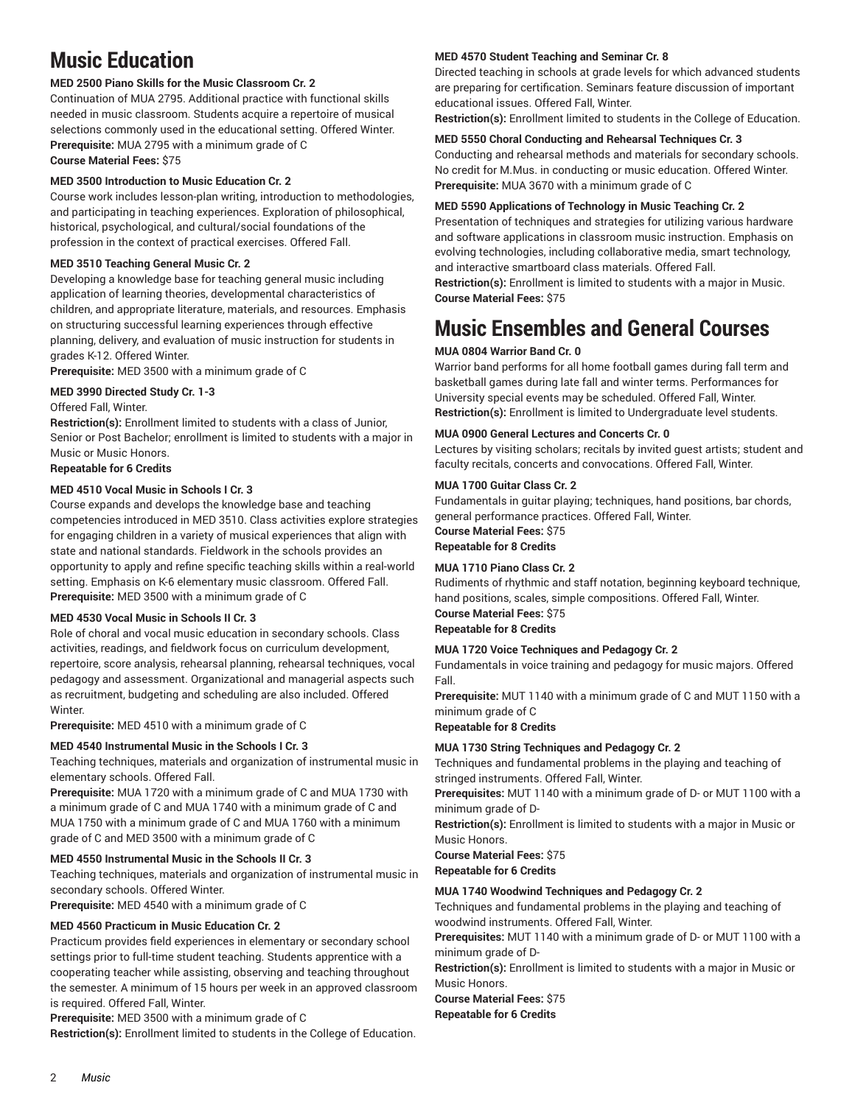# <span id="page-1-0"></span>**Music Education**

### **MED 2500 Piano Skills for the Music Classroom Cr. 2**

Continuation of MUA 2795. Additional practice with functional skills needed in music classroom. Students acquire a repertoire of musical selections commonly used in the educational setting. Offered Winter. **Prerequisite:** MUA 2795 with a minimum grade of C **Course Material Fees:** \$75

### **MED 3500 Introduction to Music Education Cr. 2**

Course work includes lesson-plan writing, introduction to methodologies, and participating in teaching experiences. Exploration of philosophical, historical, psychological, and cultural/social foundations of the profession in the context of practical exercises. Offered Fall.

### **MED 3510 Teaching General Music Cr. 2**

Developing a knowledge base for teaching general music including application of learning theories, developmental characteristics of children, and appropriate literature, materials, and resources. Emphasis on structuring successful learning experiences through effective planning, delivery, and evaluation of music instruction for students in grades K-12. Offered Winter.

**Prerequisite:** MED 3500 with a minimum grade of C

### **MED 3990 Directed Study Cr. 1-3**

### Offered Fall, Winter.

**Restriction(s):** Enrollment limited to students with a class of Junior, Senior or Post Bachelor; enrollment is limited to students with a major in Music or Music Honors.

### **Repeatable for 6 Credits**

### **MED 4510 Vocal Music in Schools I Cr. 3**

Course expands and develops the knowledge base and teaching competencies introduced in MED 3510. Class activities explore strategies for engaging children in a variety of musical experiences that align with state and national standards. Fieldwork in the schools provides an opportunity to apply and refine specific teaching skills within a real-world setting. Emphasis on K-6 elementary music classroom. Offered Fall. **Prerequisite:** MED 3500 with a minimum grade of C

### **MED 4530 Vocal Music in Schools II Cr. 3**

Role of choral and vocal music education in secondary schools. Class activities, readings, and fieldwork focus on curriculum development, repertoire, score analysis, rehearsal planning, rehearsal techniques, vocal pedagogy and assessment. Organizational and managerial aspects such as recruitment, budgeting and scheduling are also included. Offered Winter.

**Prerequisite:** MED 4510 with a minimum grade of C

### **MED 4540 Instrumental Music in the Schools I Cr. 3**

Teaching techniques, materials and organization of instrumental music in elementary schools. Offered Fall.

**Prerequisite:** MUA 1720 with a minimum grade of C and MUA 1730 with a minimum grade of C and MUA 1740 with a minimum grade of C and MUA 1750 with a minimum grade of C and MUA 1760 with a minimum grade of C and MED 3500 with a minimum grade of C

### **MED 4550 Instrumental Music in the Schools II Cr. 3**

Teaching techniques, materials and organization of instrumental music in secondary schools. Offered Winter.

**Prerequisite:** MED 4540 with a minimum grade of C

### **MED 4560 Practicum in Music Education Cr. 2**

Practicum provides field experiences in elementary or secondary school settings prior to full-time student teaching. Students apprentice with a cooperating teacher while assisting, observing and teaching throughout the semester. A minimum of 15 hours per week in an approved classroom is required. Offered Fall, Winter.

**Prerequisite:** MED 3500 with a minimum grade of C

**Restriction(s):** Enrollment limited to students in the College of Education.

### **MED 4570 Student Teaching and Seminar Cr. 8**

Directed teaching in schools at grade levels for which advanced students are preparing for certification. Seminars feature discussion of important educational issues. Offered Fall, Winter.

**Restriction(s):** Enrollment limited to students in the College of Education.

### **MED 5550 Choral Conducting and Rehearsal Techniques Cr. 3**

Conducting and rehearsal methods and materials for secondary schools. No credit for M.Mus. in conducting or music education. Offered Winter. **Prerequisite:** MUA 3670 with a minimum grade of C

### **MED 5590 Applications of Technology in Music Teaching Cr. 2**

Presentation of techniques and strategies for utilizing various hardware and software applications in classroom music instruction. Emphasis on evolving technologies, including collaborative media, smart technology, and interactive smartboard class materials. Offered Fall.

**Restriction(s):** Enrollment is limited to students with a major in Music. **Course Material Fees:** \$75

# <span id="page-1-1"></span>**Music Ensembles and General Courses**

### **MUA 0804 Warrior Band Cr. 0**

Warrior band performs for all home football games during fall term and basketball games during late fall and winter terms. Performances for University special events may be scheduled. Offered Fall, Winter. **Restriction(s):** Enrollment is limited to Undergraduate level students.

### **MUA 0900 General Lectures and Concerts Cr. 0**

Lectures by visiting scholars; recitals by invited guest artists; student and faculty recitals, concerts and convocations. Offered Fall, Winter.

### **MUA 1700 Guitar Class Cr. 2**

Fundamentals in guitar playing; techniques, hand positions, bar chords, general performance practices. Offered Fall, Winter.

**Course Material Fees:** \$75 **Repeatable for 8 Credits**

### **MUA 1710 Piano Class Cr. 2**

Rudiments of rhythmic and staff notation, beginning keyboard technique, hand positions, scales, simple compositions. Offered Fall, Winter. **Course Material Fees:** \$75

### **Repeatable for 8 Credits**

### **MUA 1720 Voice Techniques and Pedagogy Cr. 2**

Fundamentals in voice training and pedagogy for music majors. Offered Fall.

**Prerequisite:** MUT 1140 with a minimum grade of C and MUT 1150 with a minimum grade of C

**Repeatable for 8 Credits**

### **MUA 1730 String Techniques and Pedagogy Cr. 2**

Techniques and fundamental problems in the playing and teaching of stringed instruments. Offered Fall, Winter.

**Prerequisites:** MUT 1140 with a minimum grade of D- or MUT 1100 with a minimum grade of D-

**Restriction(s):** Enrollment is limited to students with a major in Music or Music Honors.

**Course Material Fees:** \$75 **Repeatable for 6 Credits**

**MUA 1740 Woodwind Techniques and Pedagogy Cr. 2**

Techniques and fundamental problems in the playing and teaching of woodwind instruments. Offered Fall, Winter.

**Prerequisites:** MUT 1140 with a minimum grade of D- or MUT 1100 with a minimum grade of D-

**Restriction(s):** Enrollment is limited to students with a major in Music or Music Honors.

**Course Material Fees:** \$75 **Repeatable for 6 Credits**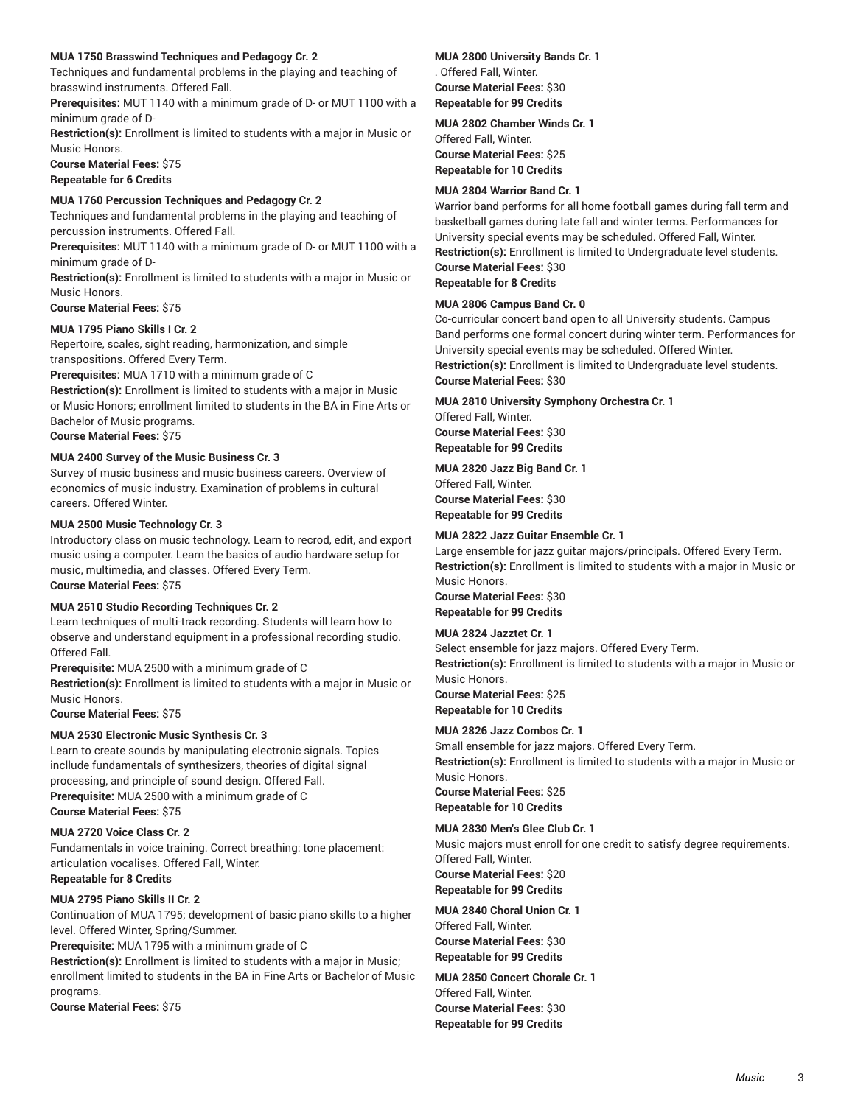### **MUA 1750 Brasswind Techniques and Pedagogy Cr. 2**

Techniques and fundamental problems in the playing and teaching of brasswind instruments. Offered Fall.

**Prerequisites:** MUT 1140 with a minimum grade of D- or MUT 1100 with a minimum grade of D-

**Restriction(s):** Enrollment is limited to students with a major in Music or Music Honors.

**Course Material Fees:** \$75 **Repeatable for 6 Credits**

### **MUA 1760 Percussion Techniques and Pedagogy Cr. 2**

Techniques and fundamental problems in the playing and teaching of percussion instruments. Offered Fall.

**Prerequisites:** MUT 1140 with a minimum grade of D- or MUT 1100 with a minimum grade of D-

**Restriction(s):** Enrollment is limited to students with a major in Music or Music Honors.

**Course Material Fees:** \$75

### **MUA 1795 Piano Skills I Cr. 2**

Repertoire, scales, sight reading, harmonization, and simple transpositions. Offered Every Term.

**Prerequisites:** MUA 1710 with a minimum grade of C

**Restriction(s):** Enrollment is limited to students with a major in Music or Music Honors; enrollment limited to students in the BA in Fine Arts or Bachelor of Music programs. **Course Material Fees:** \$75

### **MUA 2400 Survey of the Music Business Cr. 3**

Survey of music business and music business careers. Overview of economics of music industry. Examination of problems in cultural careers. Offered Winter.

### **MUA 2500 Music Technology Cr. 3**

Introductory class on music technology. Learn to recrod, edit, and export music using a computer. Learn the basics of audio hardware setup for music, multimedia, and classes. Offered Every Term.

**Course Material Fees:** \$75

### **MUA 2510 Studio Recording Techniques Cr. 2**

Learn techniques of multi-track recording. Students will learn how to observe and understand equipment in a professional recording studio. Offered Fall.

**Prerequisite:** MUA 2500 with a minimum grade of C **Restriction(s):** Enrollment is limited to students with a major in Music or Music Honors.

**Course Material Fees:** \$75

### **MUA 2530 Electronic Music Synthesis Cr. 3**

Learn to create sounds by manipulating electronic signals. Topics incllude fundamentals of synthesizers, theories of digital signal processing, and principle of sound design. Offered Fall. **Prerequisite:** MUA 2500 with a minimum grade of C **Course Material Fees:** \$75

### **MUA 2720 Voice Class Cr. 2**

Fundamentals in voice training. Correct breathing: tone placement: articulation vocalises. Offered Fall, Winter. **Repeatable for 8 Credits**

### **MUA 2795 Piano Skills II Cr. 2**

Continuation of MUA 1795; development of basic piano skills to a higher level. Offered Winter, Spring/Summer.

**Prerequisite:** MUA 1795 with a minimum grade of C

**Restriction(s):** Enrollment is limited to students with a major in Music; enrollment limited to students in the BA in Fine Arts or Bachelor of Music programs.

**Course Material Fees:** \$75

### **MUA 2800 University Bands Cr. 1** . Offered Fall, Winter. **Course Material Fees:** \$30 **Repeatable for 99 Credits**

## **MUA 2802 Chamber Winds Cr. 1**

Offered Fall, Winter. **Course Material Fees:** \$25 **Repeatable for 10 Credits**

### **MUA 2804 Warrior Band Cr. 1**

Warrior band performs for all home football games during fall term and basketball games during late fall and winter terms. Performances for University special events may be scheduled. Offered Fall, Winter. **Restriction(s):** Enrollment is limited to Undergraduate level students. **Course Material Fees:** \$30

**Repeatable for 8 Credits**

### **MUA 2806 Campus Band Cr. 0**

Co-curricular concert band open to all University students. Campus Band performs one formal concert during winter term. Performances for University special events may be scheduled. Offered Winter. **Restriction(s):** Enrollment is limited to Undergraduate level students. **Course Material Fees:** \$30

**MUA 2810 University Symphony Orchestra Cr. 1** Offered Fall, Winter. **Course Material Fees:** \$30 **Repeatable for 99 Credits**

**MUA 2820 Jazz Big Band Cr. 1** Offered Fall, Winter. **Course Material Fees:** \$30 **Repeatable for 99 Credits**

### **MUA 2822 Jazz Guitar Ensemble Cr. 1**

Large ensemble for jazz guitar majors/principals. Offered Every Term. **Restriction(s):** Enrollment is limited to students with a major in Music or Music Honors. **Course Material Fees:** \$30 **Repeatable for 99 Credits**

### **MUA 2824 Jazztet Cr. 1**

Select ensemble for jazz majors. Offered Every Term. **Restriction(s):** Enrollment is limited to students with a major in Music or Music Honors. **Course Material Fees:** \$25 **Repeatable for 10 Credits**

### **MUA 2826 Jazz Combos Cr. 1**

Small ensemble for jazz majors. Offered Every Term. **Restriction(s):** Enrollment is limited to students with a major in Music or Music Honors. **Course Material Fees:** \$25 **Repeatable for 10 Credits**

### **MUA 2830 Men's Glee Club Cr. 1**

Music majors must enroll for one credit to satisfy degree requirements. Offered Fall, Winter. **Course Material Fees:** \$20 **Repeatable for 99 Credits**

**MUA 2840 Choral Union Cr. 1** Offered Fall, Winter. **Course Material Fees:** \$30 **Repeatable for 99 Credits**

**MUA 2850 Concert Chorale Cr. 1** Offered Fall, Winter. **Course Material Fees:** \$30 **Repeatable for 99 Credits**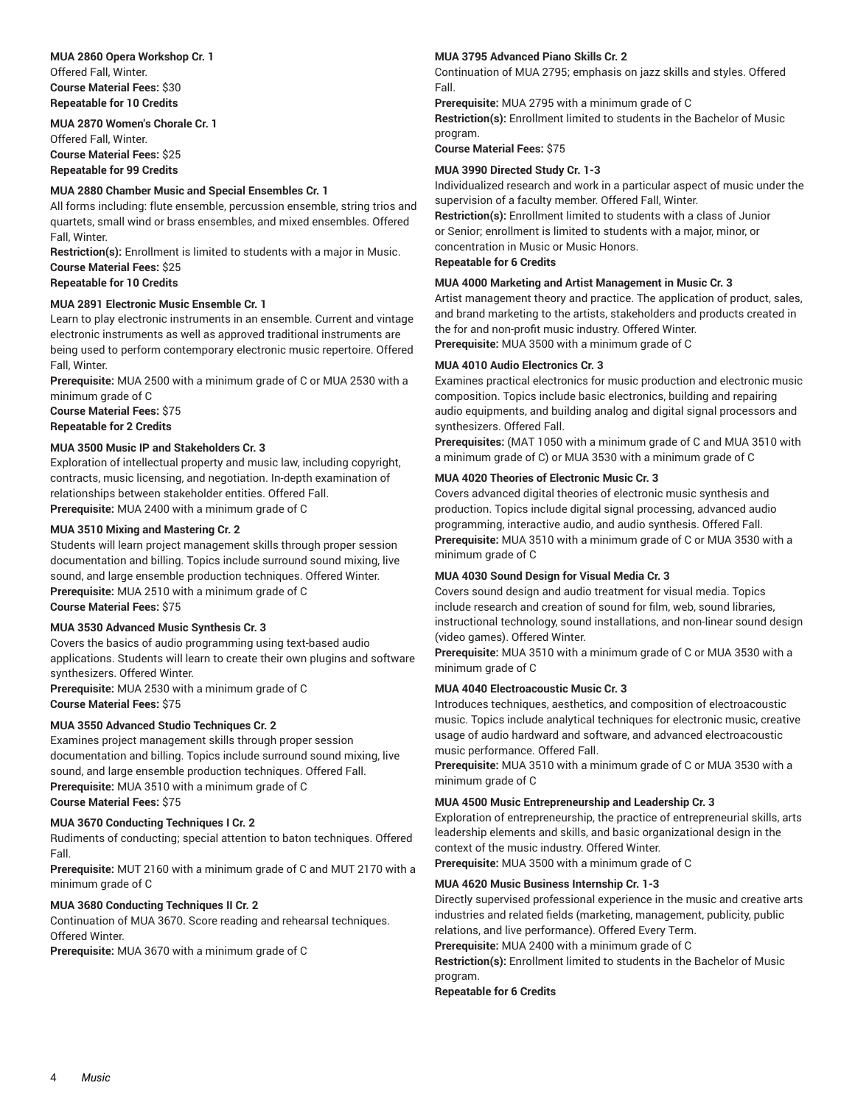**MUA 2860 Opera Workshop Cr. 1** Offered Fall, Winter. **Course Material Fees:** \$30 **Repeatable for 10 Credits**

**MUA 2870 Women's Chorale Cr. 1** Offered Fall, Winter. **Course Material Fees:** \$25 **Repeatable for 99 Credits**

### **MUA 2880 Chamber Music and Special Ensembles Cr. 1**

All forms including: flute ensemble, percussion ensemble, string trios and quartets, small wind or brass ensembles, and mixed ensembles. Offered Fall, Winter.

**Restriction(s):** Enrollment is limited to students with a major in Music. **Course Material Fees:** \$25

### **Repeatable for 10 Credits**

### **MUA 2891 Electronic Music Ensemble Cr. 1**

Learn to play electronic instruments in an ensemble. Current and vintage electronic instruments as well as approved traditional instruments are being used to perform contemporary electronic music repertoire. Offered Fall, Winter.

**Prerequisite:** MUA 2500 with a minimum grade of C or MUA 2530 with a minimum grade of C

**Course Material Fees:** \$75 **Repeatable for 2 Credits**

### **MUA 3500 Music IP and Stakeholders Cr. 3**

Exploration of intellectual property and music law, including copyright, contracts, music licensing, and negotiation. In-depth examination of relationships between stakeholder entities. Offered Fall. **Prerequisite:** MUA 2400 with a minimum grade of C

### **MUA 3510 Mixing and Mastering Cr. 2**

Students will learn project management skills through proper session documentation and billing. Topics include surround sound mixing, live sound, and large ensemble production techniques. Offered Winter. **Prerequisite:** MUA 2510 with a minimum grade of C

### **Course Material Fees:** \$75

### **MUA 3530 Advanced Music Synthesis Cr. 3**

Covers the basics of audio programming using text-based audio applications. Students will learn to create their own plugins and software synthesizers. Offered Winter.

**Prerequisite:** MUA 2530 with a minimum grade of C **Course Material Fees:** \$75

### **MUA 3550 Advanced Studio Techniques Cr. 2**

Examines project management skills through proper session documentation and billing. Topics include surround sound mixing, live sound, and large ensemble production techniques. Offered Fall. **Prerequisite:** MUA 3510 with a minimum grade of C **Course Material Fees:** \$75

### **MUA 3670 Conducting Techniques I Cr. 2**

Rudiments of conducting; special attention to baton techniques. Offered Fall.

**Prerequisite:** MUT 2160 with a minimum grade of C and MUT 2170 with a minimum grade of C

### **MUA 3680 Conducting Techniques II Cr. 2**

Continuation of MUA 3670. Score reading and rehearsal techniques. Offered Winter.

**Prerequisite:** MUA 3670 with a minimum grade of C

### **MUA 3795 Advanced Piano Skills Cr. 2**

Continuation of MUA 2795; emphasis on jazz skills and styles. Offered Fall.

**Prerequisite:** MUA 2795 with a minimum grade of C **Restriction(s):** Enrollment limited to students in the Bachelor of Music program.

**Course Material Fees:** \$75

### **MUA 3990 Directed Study Cr. 1-3**

Individualized research and work in a particular aspect of music under the supervision of a faculty member. Offered Fall, Winter.

**Restriction(s):** Enrollment limited to students with a class of Junior or Senior; enrollment is limited to students with a major, minor, or concentration in Music or Music Honors. **Repeatable for 6 Credits**

#### **MUA 4000 Marketing and Artist Management in Music Cr. 3**

Artist management theory and practice. The application of product, sales, and brand marketing to the artists, stakeholders and products created in the for and non-profit music industry. Offered Winter. **Prerequisite:** MUA 3500 with a minimum grade of C

#### **MUA 4010 Audio Electronics Cr. 3**

Examines practical electronics for music production and electronic music composition. Topics include basic electronics, building and repairing audio equipments, and building analog and digital signal processors and synthesizers. Offered Fall.

**Prerequisites:** (MAT 1050 with a minimum grade of C and MUA 3510 with a minimum grade of C) or MUA 3530 with a minimum grade of C

#### **MUA 4020 Theories of Electronic Music Cr. 3**

Covers advanced digital theories of electronic music synthesis and production. Topics include digital signal processing, advanced audio programming, interactive audio, and audio synthesis. Offered Fall. **Prerequisite:** MUA 3510 with a minimum grade of C or MUA 3530 with a minimum grade of C

### **MUA 4030 Sound Design for Visual Media Cr. 3**

Covers sound design and audio treatment for visual media. Topics include research and creation of sound for film, web, sound libraries, instructional technology, sound installations, and non-linear sound design (video games). Offered Winter.

**Prerequisite:** MUA 3510 with a minimum grade of C or MUA 3530 with a minimum grade of C

### **MUA 4040 Electroacoustic Music Cr. 3**

Introduces techniques, aesthetics, and composition of electroacoustic music. Topics include analytical techniques for electronic music, creative usage of audio hardward and software, and advanced electroacoustic music performance. Offered Fall.

**Prerequisite:** MUA 3510 with a minimum grade of C or MUA 3530 with a minimum grade of C

### **MUA 4500 Music Entrepreneurship and Leadership Cr. 3**

Exploration of entrepreneurship, the practice of entrepreneurial skills, arts leadership elements and skills, and basic organizational design in the context of the music industry. Offered Winter.

**Prerequisite:** MUA 3500 with a minimum grade of C

#### **MUA 4620 Music Business Internship Cr. 1-3**

Directly supervised professional experience in the music and creative arts industries and related fields (marketing, management, publicity, public relations, and live performance). Offered Every Term.

**Prerequisite:** MUA 2400 with a minimum grade of C

**Restriction(s):** Enrollment limited to students in the Bachelor of Music program.

#### **Repeatable for 6 Credits**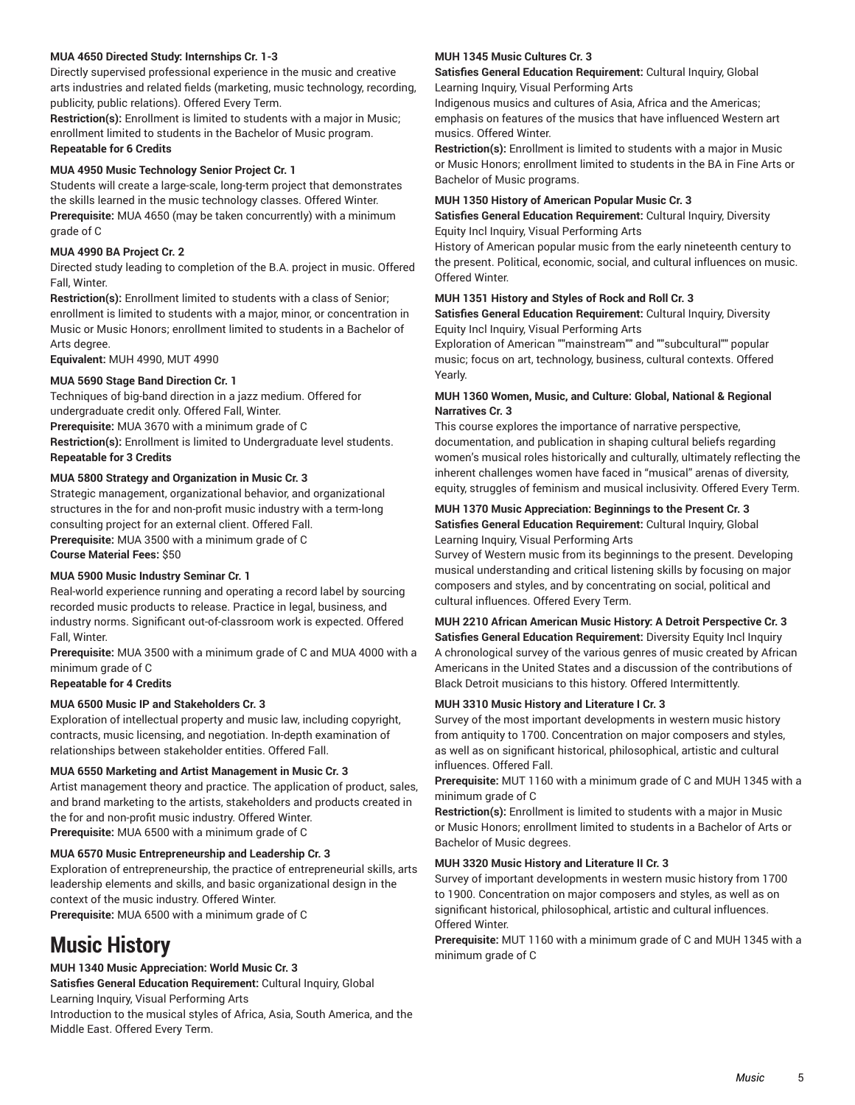### **MUA 4650 Directed Study: Internships Cr. 1-3**

Directly supervised professional experience in the music and creative arts industries and related fields (marketing, music technology, recording, publicity, public relations). Offered Every Term.

**Restriction(s):** Enrollment is limited to students with a major in Music; enrollment limited to students in the Bachelor of Music program. **Repeatable for 6 Credits**

### **MUA 4950 Music Technology Senior Project Cr. 1**

Students will create a large-scale, long-term project that demonstrates the skills learned in the music technology classes. Offered Winter. **Prerequisite:** MUA 4650 (may be taken concurrently) with a minimum grade of C

### **MUA 4990 BA Project Cr. 2**

Directed study leading to completion of the B.A. project in music. Offered Fall, Winter.

**Restriction(s):** Enrollment limited to students with a class of Senior; enrollment is limited to students with a major, minor, or concentration in Music or Music Honors; enrollment limited to students in a Bachelor of Arts degree.

**Equivalent:** MUH 4990, MUT 4990

### **MUA 5690 Stage Band Direction Cr. 1**

Techniques of big-band direction in a jazz medium. Offered for undergraduate credit only. Offered Fall, Winter. **Prerequisite:** MUA 3670 with a minimum grade of C **Restriction(s):** Enrollment is limited to Undergraduate level students. **Repeatable for 3 Credits**

### **MUA 5800 Strategy and Organization in Music Cr. 3**

Strategic management, organizational behavior, and organizational structures in the for and non-profit music industry with a term-long consulting project for an external client. Offered Fall.

**Prerequisite:** MUA 3500 with a minimum grade of C **Course Material Fees:** \$50

### **MUA 5900 Music Industry Seminar Cr. 1**

Real-world experience running and operating a record label by sourcing recorded music products to release. Practice in legal, business, and industry norms. Significant out-of-classroom work is expected. Offered Fall, Winter.

**Prerequisite:** MUA 3500 with a minimum grade of C and MUA 4000 with a minimum grade of C

### **Repeatable for 4 Credits**

### **MUA 6500 Music IP and Stakeholders Cr. 3**

Exploration of intellectual property and music law, including copyright, contracts, music licensing, and negotiation. In-depth examination of relationships between stakeholder entities. Offered Fall.

### **MUA 6550 Marketing and Artist Management in Music Cr. 3**

Artist management theory and practice. The application of product, sales, and brand marketing to the artists, stakeholders and products created in the for and non-profit music industry. Offered Winter. **Prerequisite:** MUA 6500 with a minimum grade of C

### **MUA 6570 Music Entrepreneurship and Leadership Cr. 3**

Exploration of entrepreneurship, the practice of entrepreneurial skills, arts leadership elements and skills, and basic organizational design in the context of the music industry. Offered Winter. **Prerequisite:** MUA 6500 with a minimum grade of C

# <span id="page-4-0"></span>**Music History**

### **MUH 1340 Music Appreciation: World Music Cr. 3**

**Satisfies General Education Requirement:** Cultural Inquiry, Global Learning Inquiry, Visual Performing Arts

Introduction to the musical styles of Africa, Asia, South America, and the Middle East. Offered Every Term.

### **MUH 1345 Music Cultures Cr. 3**

**Satisfies General Education Requirement:** Cultural Inquiry, Global Learning Inquiry, Visual Performing Arts

Indigenous musics and cultures of Asia, Africa and the Americas; emphasis on features of the musics that have influenced Western art musics. Offered Winter.

**Restriction(s):** Enrollment is limited to students with a major in Music or Music Honors; enrollment limited to students in the BA in Fine Arts or Bachelor of Music programs.

### **MUH 1350 History of American Popular Music Cr. 3**

**Satisfies General Education Requirement:** Cultural Inquiry, Diversity Equity Incl Inquiry, Visual Performing Arts

History of American popular music from the early nineteenth century to the present. Political, economic, social, and cultural influences on music. Offered Winter.

### **MUH 1351 History and Styles of Rock and Roll Cr. 3**

**Satisfies General Education Requirement:** Cultural Inquiry, Diversity Equity Incl Inquiry, Visual Performing Arts

Exploration of American ""mainstream"" and ""subcultural"" popular music; focus on art, technology, business, cultural contexts. Offered Yearly.

### **MUH 1360 Women, Music, and Culture: Global, National & Regional Narratives Cr. 3**

This course explores the importance of narrative perspective, documentation, and publication in shaping cultural beliefs regarding women's musical roles historically and culturally, ultimately reflecting the inherent challenges women have faced in "musical" arenas of diversity, equity, struggles of feminism and musical inclusivity. Offered Every Term.

### **MUH 1370 Music Appreciation: Beginnings to the Present Cr. 3 Satisfies General Education Requirement:** Cultural Inquiry, Global Learning Inquiry, Visual Performing Arts

Survey of Western music from its beginnings to the present. Developing musical understanding and critical listening skills by focusing on major composers and styles, and by concentrating on social, political and cultural influences. Offered Every Term.

### **MUH 2210 African American Music History: A Detroit Perspective Cr. 3**

**Satisfies General Education Requirement:** Diversity Equity Incl Inquiry A chronological survey of the various genres of music created by African Americans in the United States and a discussion of the contributions of Black Detroit musicians to this history. Offered Intermittently.

### **MUH 3310 Music History and Literature I Cr. 3**

Survey of the most important developments in western music history from antiquity to 1700. Concentration on major composers and styles, as well as on significant historical, philosophical, artistic and cultural influences. Offered Fall.

**Prerequisite:** MUT 1160 with a minimum grade of C and MUH 1345 with a minimum grade of C

**Restriction(s):** Enrollment is limited to students with a major in Music or Music Honors; enrollment limited to students in a Bachelor of Arts or Bachelor of Music degrees.

### **MUH 3320 Music History and Literature II Cr. 3**

Survey of important developments in western music history from 1700 to 1900. Concentration on major composers and styles, as well as on significant historical, philosophical, artistic and cultural influences. Offered Winter.

**Prerequisite:** MUT 1160 with a minimum grade of C and MUH 1345 with a minimum grade of C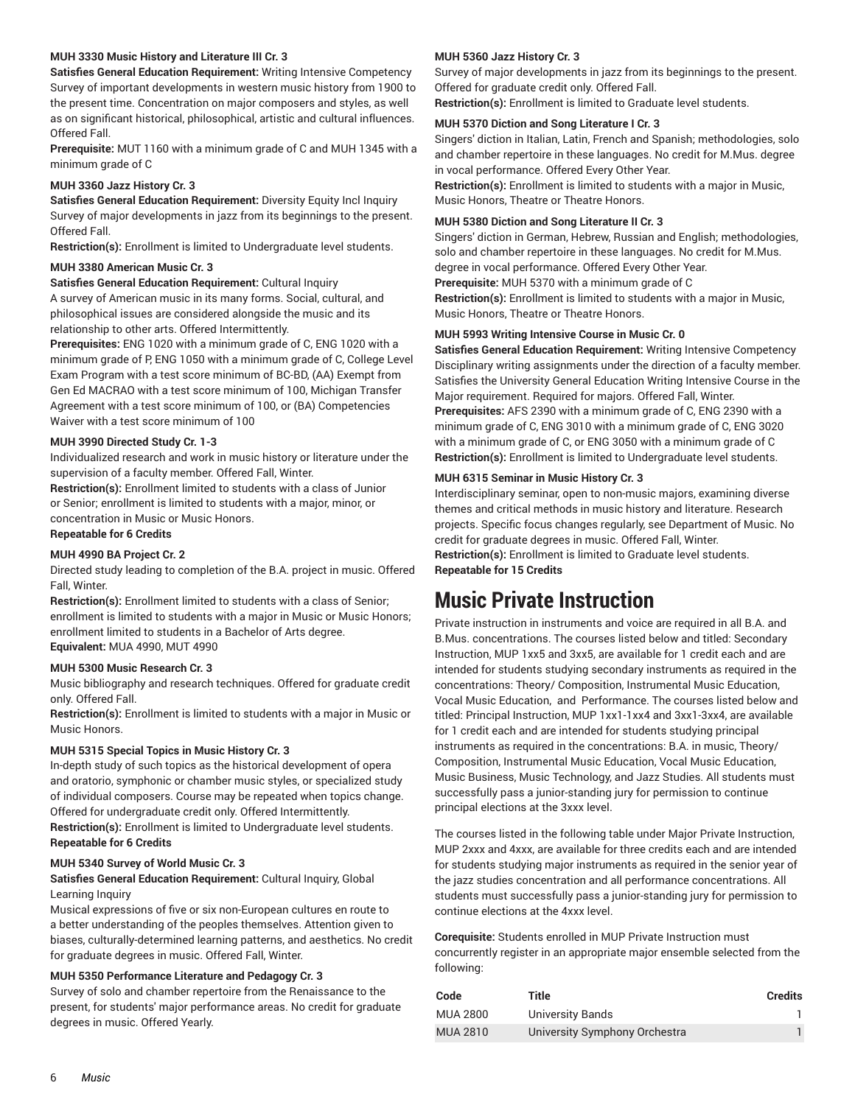### **MUH 3330 Music History and Literature III Cr. 3**

**Satisfies General Education Requirement:** Writing Intensive Competency Survey of important developments in western music history from 1900 to the present time. Concentration on major composers and styles, as well as on significant historical, philosophical, artistic and cultural influences. Offered Fall.

**Prerequisite:** MUT 1160 with a minimum grade of C and MUH 1345 with a minimum grade of C

### **MUH 3360 Jazz History Cr. 3**

**Satisfies General Education Requirement:** Diversity Equity Incl Inquiry Survey of major developments in jazz from its beginnings to the present. Offered Fall.

**Restriction(s):** Enrollment is limited to Undergraduate level students.

#### **MUH 3380 American Music Cr. 3**

**Satisfies General Education Requirement:** Cultural Inquiry A survey of American music in its many forms. Social, cultural, and philosophical issues are considered alongside the music and its relationship to other arts. Offered Intermittently.

**Prerequisites:** ENG 1020 with a minimum grade of C, ENG 1020 with a minimum grade of P, ENG 1050 with a minimum grade of C, College Level Exam Program with a test score minimum of BC-BD, (AA) Exempt from Gen Ed MACRAO with a test score minimum of 100, Michigan Transfer Agreement with a test score minimum of 100, or (BA) Competencies Waiver with a test score minimum of 100

### **MUH 3990 Directed Study Cr. 1-3**

Individualized research and work in music history or literature under the supervision of a faculty member. Offered Fall, Winter.

**Restriction(s):** Enrollment limited to students with a class of Junior or Senior; enrollment is limited to students with a major, minor, or concentration in Music or Music Honors.

### **Repeatable for 6 Credits**

### **MUH 4990 BA Project Cr. 2**

Directed study leading to completion of the B.A. project in music. Offered Fall, Winter.

**Restriction(s):** Enrollment limited to students with a class of Senior; enrollment is limited to students with a major in Music or Music Honors; enrollment limited to students in a Bachelor of Arts degree. **Equivalent:** MUA 4990, MUT 4990

### **MUH 5300 Music Research Cr. 3**

Music bibliography and research techniques. Offered for graduate credit only. Offered Fall.

**Restriction(s):** Enrollment is limited to students with a major in Music or Music Honors.

### **MUH 5315 Special Topics in Music History Cr. 3**

In-depth study of such topics as the historical development of opera and oratorio, symphonic or chamber music styles, or specialized study of individual composers. Course may be repeated when topics change. Offered for undergraduate credit only. Offered Intermittently. **Restriction(s):** Enrollment is limited to Undergraduate level students. **Repeatable for 6 Credits**

### **MUH 5340 Survey of World Music Cr. 3**

### **Satisfies General Education Requirement:** Cultural Inquiry, Global Learning Inquiry

Musical expressions of five or six non-European cultures en route to a better understanding of the peoples themselves. Attention given to biases, culturally-determined learning patterns, and aesthetics. No credit for graduate degrees in music. Offered Fall, Winter.

### **MUH 5350 Performance Literature and Pedagogy Cr. 3**

Survey of solo and chamber repertoire from the Renaissance to the present, for students' major performance areas. No credit for graduate degrees in music. Offered Yearly.

### **MUH 5360 Jazz History Cr. 3**

Survey of major developments in jazz from its beginnings to the present. Offered for graduate credit only. Offered Fall.

**Restriction(s):** Enrollment is limited to Graduate level students.

#### **MUH 5370 Diction and Song Literature I Cr. 3**

Singers' diction in Italian, Latin, French and Spanish; methodologies, solo and chamber repertoire in these languages. No credit for M.Mus. degree in vocal performance. Offered Every Other Year.

**Restriction(s):** Enrollment is limited to students with a major in Music, Music Honors, Theatre or Theatre Honors.

### **MUH 5380 Diction and Song Literature II Cr. 3**

Singers' diction in German, Hebrew, Russian and English; methodologies, solo and chamber repertoire in these languages. No credit for M.Mus. degree in vocal performance. Offered Every Other Year. **Prerequisite:** MUH 5370 with a minimum grade of C **Restriction(s):** Enrollment is limited to students with a major in Music, Music Honors, Theatre or Theatre Honors.

#### **MUH 5993 Writing Intensive Course in Music Cr. 0**

**Satisfies General Education Requirement:** Writing Intensive Competency Disciplinary writing assignments under the direction of a faculty member. Satisfies the University General Education Writing Intensive Course in the Major requirement. Required for majors. Offered Fall, Winter. **Prerequisites:** AFS 2390 with a minimum grade of C, ENG 2390 with a minimum grade of C, ENG 3010 with a minimum grade of C, ENG 3020 with a minimum grade of C, or ENG 3050 with a minimum grade of C **Restriction(s):** Enrollment is limited to Undergraduate level students.

#### **MUH 6315 Seminar in Music History Cr. 3**

Interdisciplinary seminar, open to non-music majors, examining diverse themes and critical methods in music history and literature. Research projects. Specific focus changes regularly, see Department of Music. No credit for graduate degrees in music. Offered Fall, Winter. **Restriction(s):** Enrollment is limited to Graduate level students. **Repeatable for 15 Credits**

# <span id="page-5-0"></span>**Music Private Instruction**

Private instruction in instruments and voice are required in all B.A. and B.Mus. concentrations. The courses listed below and titled: Secondary Instruction, MUP 1xx5 and 3xx5, are available for 1 credit each and are intended for students studying secondary instruments as required in the concentrations: Theory/ Composition, Instrumental Music Education, Vocal Music Education, and Performance. The courses listed below and titled: Principal Instruction, MUP 1xx1-1xx4 and 3xx1-3xx4, are available for 1 credit each and are intended for students studying principal instruments as required in the concentrations: B.A. in music, Theory/ Composition, Instrumental Music Education, Vocal Music Education, Music Business, Music Technology, and Jazz Studies. All students must successfully pass a junior-standing jury for permission to continue principal elections at the 3xxx level.

The courses listed in the following table under Major Private Instruction, MUP 2xxx and 4xxx, are available for three credits each and are intended for students studying major instruments as required in the senior year of the jazz studies concentration and all performance concentrations. All students must successfully pass a junior-standing jury for permission to continue elections at the 4xxx level.

**Corequisite:** Students enrolled in MUP Private Instruction must concurrently register in an appropriate major ensemble selected from the following:

| Code            | Title                         | <b>Credits</b> |
|-----------------|-------------------------------|----------------|
| MUA 2800        | University Bands              |                |
| <b>MUA 2810</b> | University Symphony Orchestra |                |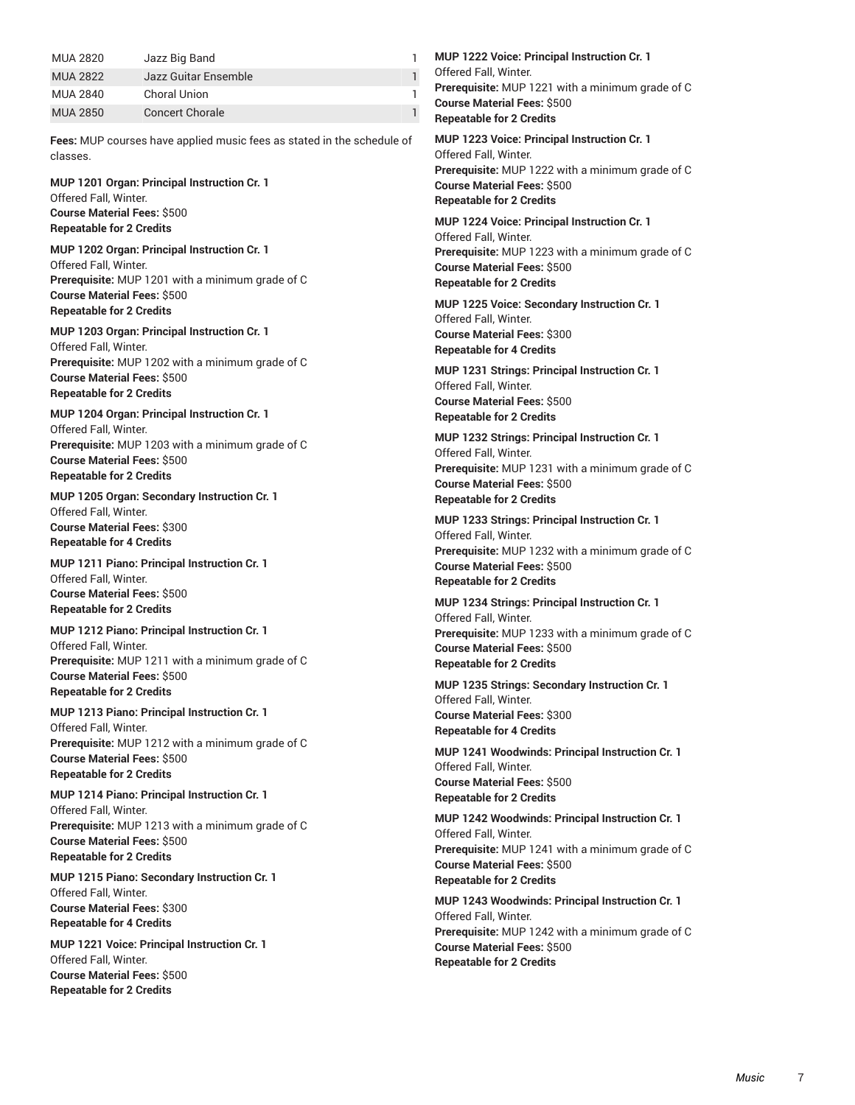| MUA 2820        | Jazz Big Band          |  |
|-----------------|------------------------|--|
| <b>MUA 2822</b> | Jazz Guitar Ensemble   |  |
| MUA 2840        | <b>Choral Union</b>    |  |
| <b>MUA 2850</b> | <b>Concert Chorale</b> |  |

**Fees:** MUP courses have applied music fees as stated in the schedule of classes.

**MUP 1201 Organ: Principal Instruction Cr. 1** Offered Fall, Winter. **Course Material Fees:** \$500 **Repeatable for 2 Credits**

**MUP 1202 Organ: Principal Instruction Cr. 1** Offered Fall, Winter. **Prerequisite:** MUP 1201 with a minimum grade of C **Course Material Fees:** \$500 **Repeatable for 2 Credits**

**MUP 1203 Organ: Principal Instruction Cr. 1** Offered Fall, Winter. **Prerequisite:** MUP 1202 with a minimum grade of C **Course Material Fees:** \$500 **Repeatable for 2 Credits**

**MUP 1204 Organ: Principal Instruction Cr. 1** Offered Fall, Winter. **Prerequisite:** MUP 1203 with a minimum grade of C **Course Material Fees:** \$500 **Repeatable for 2 Credits**

**MUP 1205 Organ: Secondary Instruction Cr. 1** Offered Fall, Winter. **Course Material Fees:** \$300 **Repeatable for 4 Credits**

**MUP 1211 Piano: Principal Instruction Cr. 1** Offered Fall, Winter. **Course Material Fees:** \$500 **Repeatable for 2 Credits**

**MUP 1212 Piano: Principal Instruction Cr. 1** Offered Fall, Winter. **Prerequisite:** MUP 1211 with a minimum grade of C **Course Material Fees:** \$500 **Repeatable for 2 Credits**

**MUP 1213 Piano: Principal Instruction Cr. 1** Offered Fall, Winter. **Prerequisite:** MUP 1212 with a minimum grade of C **Course Material Fees:** \$500 **Repeatable for 2 Credits**

**MUP 1214 Piano: Principal Instruction Cr. 1** Offered Fall, Winter. **Prerequisite:** MUP 1213 with a minimum grade of C **Course Material Fees:** \$500 **Repeatable for 2 Credits**

**MUP 1215 Piano: Secondary Instruction Cr. 1** Offered Fall, Winter. **Course Material Fees:** \$300 **Repeatable for 4 Credits**

**MUP 1221 Voice: Principal Instruction Cr. 1** Offered Fall, Winter. **Course Material Fees:** \$500 **Repeatable for 2 Credits**

**MUP 1222 Voice: Principal Instruction Cr. 1** Offered Fall, Winter. **Prerequisite:** MUP 1221 with a minimum grade of C **Course Material Fees:** \$500 **Repeatable for 2 Credits**

**MUP 1223 Voice: Principal Instruction Cr. 1** Offered Fall, Winter. **Prerequisite:** MUP 1222 with a minimum grade of C **Course Material Fees:** \$500 **Repeatable for 2 Credits**

**MUP 1224 Voice: Principal Instruction Cr. 1** Offered Fall, Winter. **Prerequisite:** MUP 1223 with a minimum grade of C **Course Material Fees:** \$500 **Repeatable for 2 Credits**

**MUP 1225 Voice: Secondary Instruction Cr. 1** Offered Fall, Winter. **Course Material Fees:** \$300 **Repeatable for 4 Credits**

**MUP 1231 Strings: Principal Instruction Cr. 1** Offered Fall, Winter. **Course Material Fees:** \$500 **Repeatable for 2 Credits**

**MUP 1232 Strings: Principal Instruction Cr. 1** Offered Fall, Winter. **Prerequisite:** MUP 1231 with a minimum grade of C **Course Material Fees:** \$500 **Repeatable for 2 Credits**

**MUP 1233 Strings: Principal Instruction Cr. 1** Offered Fall, Winter. **Prerequisite:** MUP 1232 with a minimum grade of C **Course Material Fees:** \$500 **Repeatable for 2 Credits**

**MUP 1234 Strings: Principal Instruction Cr. 1** Offered Fall, Winter. **Prerequisite:** MUP 1233 with a minimum grade of C **Course Material Fees:** \$500 **Repeatable for 2 Credits**

**MUP 1235 Strings: Secondary Instruction Cr. 1** Offered Fall, Winter. **Course Material Fees:** \$300 **Repeatable for 4 Credits**

**MUP 1241 Woodwinds: Principal Instruction Cr. 1** Offered Fall, Winter. **Course Material Fees:** \$500 **Repeatable for 2 Credits**

**MUP 1242 Woodwinds: Principal Instruction Cr. 1** Offered Fall, Winter. **Prerequisite:** MUP 1241 with a minimum grade of C **Course Material Fees:** \$500 **Repeatable for 2 Credits**

**MUP 1243 Woodwinds: Principal Instruction Cr. 1** Offered Fall, Winter. **Prerequisite:** MUP 1242 with a minimum grade of C **Course Material Fees:** \$500 **Repeatable for 2 Credits**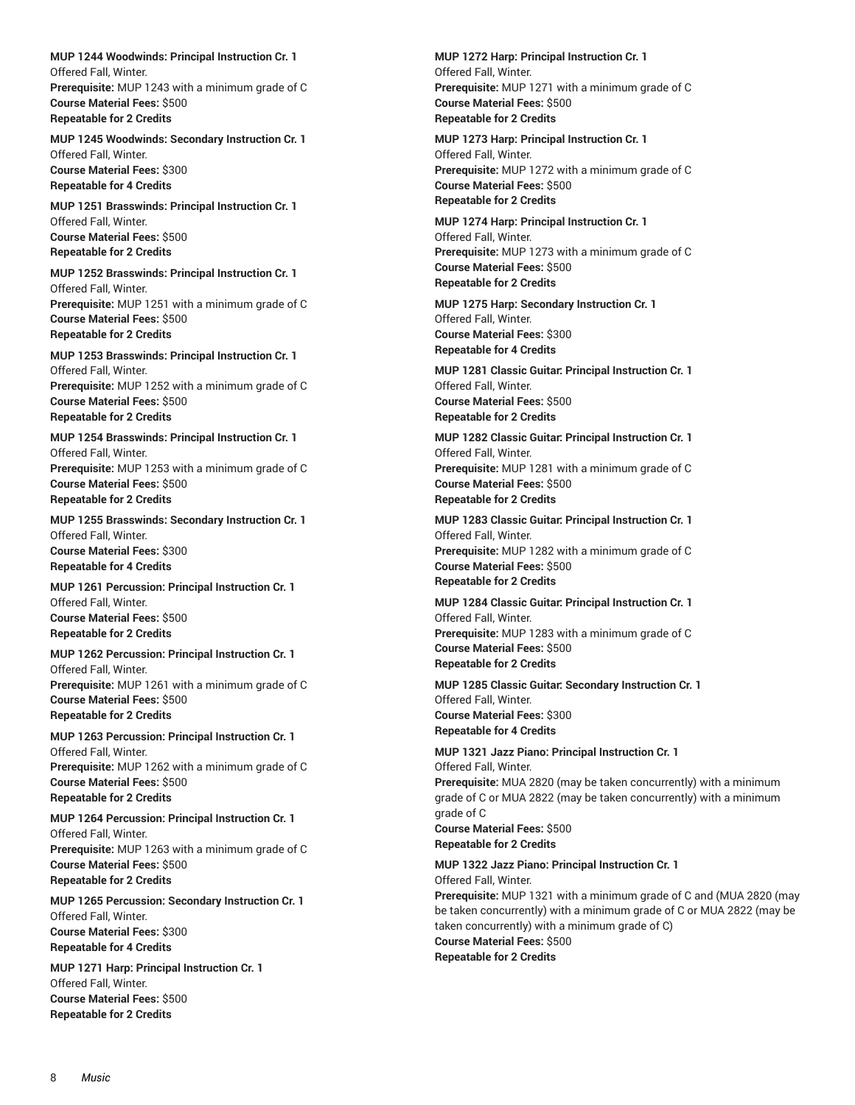**MUP 1244 Woodwinds: Principal Instruction Cr. 1** Offered Fall, Winter. **Prerequisite:** MUP 1243 with a minimum grade of C **Course Material Fees:** \$500 **Repeatable for 2 Credits**

**MUP 1245 Woodwinds: Secondary Instruction Cr. 1** Offered Fall, Winter. **Course Material Fees:** \$300 **Repeatable for 4 Credits**

**MUP 1251 Brasswinds: Principal Instruction Cr. 1** Offered Fall, Winter. **Course Material Fees:** \$500 **Repeatable for 2 Credits**

**MUP 1252 Brasswinds: Principal Instruction Cr. 1** Offered Fall, Winter. **Prerequisite:** MUP 1251 with a minimum grade of C **Course Material Fees:** \$500 **Repeatable for 2 Credits**

**MUP 1253 Brasswinds: Principal Instruction Cr. 1** Offered Fall, Winter. **Prerequisite:** MUP 1252 with a minimum grade of C **Course Material Fees:** \$500 **Repeatable for 2 Credits**

**MUP 1254 Brasswinds: Principal Instruction Cr. 1** Offered Fall, Winter. **Prerequisite:** MUP 1253 with a minimum grade of C **Course Material Fees:** \$500 **Repeatable for 2 Credits**

**MUP 1255 Brasswinds: Secondary Instruction Cr. 1** Offered Fall, Winter. **Course Material Fees:** \$300 **Repeatable for 4 Credits**

**MUP 1261 Percussion: Principal Instruction Cr. 1** Offered Fall, Winter. **Course Material Fees:** \$500 **Repeatable for 2 Credits**

**MUP 1262 Percussion: Principal Instruction Cr. 1** Offered Fall, Winter. **Prerequisite:** MUP 1261 with a minimum grade of C **Course Material Fees:** \$500 **Repeatable for 2 Credits**

**MUP 1263 Percussion: Principal Instruction Cr. 1** Offered Fall, Winter. **Prerequisite:** MUP 1262 with a minimum grade of C **Course Material Fees:** \$500 **Repeatable for 2 Credits**

**MUP 1264 Percussion: Principal Instruction Cr. 1** Offered Fall, Winter. **Prerequisite:** MUP 1263 with a minimum grade of C **Course Material Fees:** \$500 **Repeatable for 2 Credits**

**MUP 1265 Percussion: Secondary Instruction Cr. 1** Offered Fall, Winter. **Course Material Fees:** \$300 **Repeatable for 4 Credits**

**MUP 1271 Harp: Principal Instruction Cr. 1** Offered Fall, Winter. **Course Material Fees:** \$500 **Repeatable for 2 Credits**

**MUP 1272 Harp: Principal Instruction Cr. 1** Offered Fall, Winter. **Prerequisite:** MUP 1271 with a minimum grade of C **Course Material Fees:** \$500 **Repeatable for 2 Credits**

**MUP 1273 Harp: Principal Instruction Cr. 1** Offered Fall, Winter. **Prerequisite:** MUP 1272 with a minimum grade of C **Course Material Fees:** \$500 **Repeatable for 2 Credits**

**MUP 1274 Harp: Principal Instruction Cr. 1** Offered Fall, Winter. **Prerequisite:** MUP 1273 with a minimum grade of C **Course Material Fees:** \$500 **Repeatable for 2 Credits**

**MUP 1275 Harp: Secondary Instruction Cr. 1** Offered Fall, Winter. **Course Material Fees:** \$300 **Repeatable for 4 Credits**

**MUP 1281 Classic Guitar: Principal Instruction Cr. 1** Offered Fall, Winter. **Course Material Fees:** \$500 **Repeatable for 2 Credits**

**MUP 1282 Classic Guitar: Principal Instruction Cr. 1** Offered Fall, Winter. **Prerequisite:** MUP 1281 with a minimum grade of C **Course Material Fees:** \$500 **Repeatable for 2 Credits**

**MUP 1283 Classic Guitar: Principal Instruction Cr. 1** Offered Fall, Winter. **Prerequisite:** MUP 1282 with a minimum grade of C **Course Material Fees:** \$500 **Repeatable for 2 Credits**

**MUP 1284 Classic Guitar: Principal Instruction Cr. 1** Offered Fall, Winter. **Prerequisite:** MUP 1283 with a minimum grade of C **Course Material Fees:** \$500 **Repeatable for 2 Credits**

**MUP 1285 Classic Guitar: Secondary Instruction Cr. 1** Offered Fall, Winter. **Course Material Fees:** \$300 **Repeatable for 4 Credits**

**MUP 1321 Jazz Piano: Principal Instruction Cr. 1** Offered Fall, Winter. **Prerequisite:** MUA 2820 (may be taken concurrently) with a minimum grade of C or MUA 2822 (may be taken concurrently) with a minimum grade of C **Course Material Fees:** \$500 **Repeatable for 2 Credits**

**MUP 1322 Jazz Piano: Principal Instruction Cr. 1** Offered Fall, Winter. **Prerequisite:** MUP 1321 with a minimum grade of C and (MUA 2820 (may be taken concurrently) with a minimum grade of C or MUA 2822 (may be taken concurrently) with a minimum grade of C) **Course Material Fees:** \$500 **Repeatable for 2 Credits**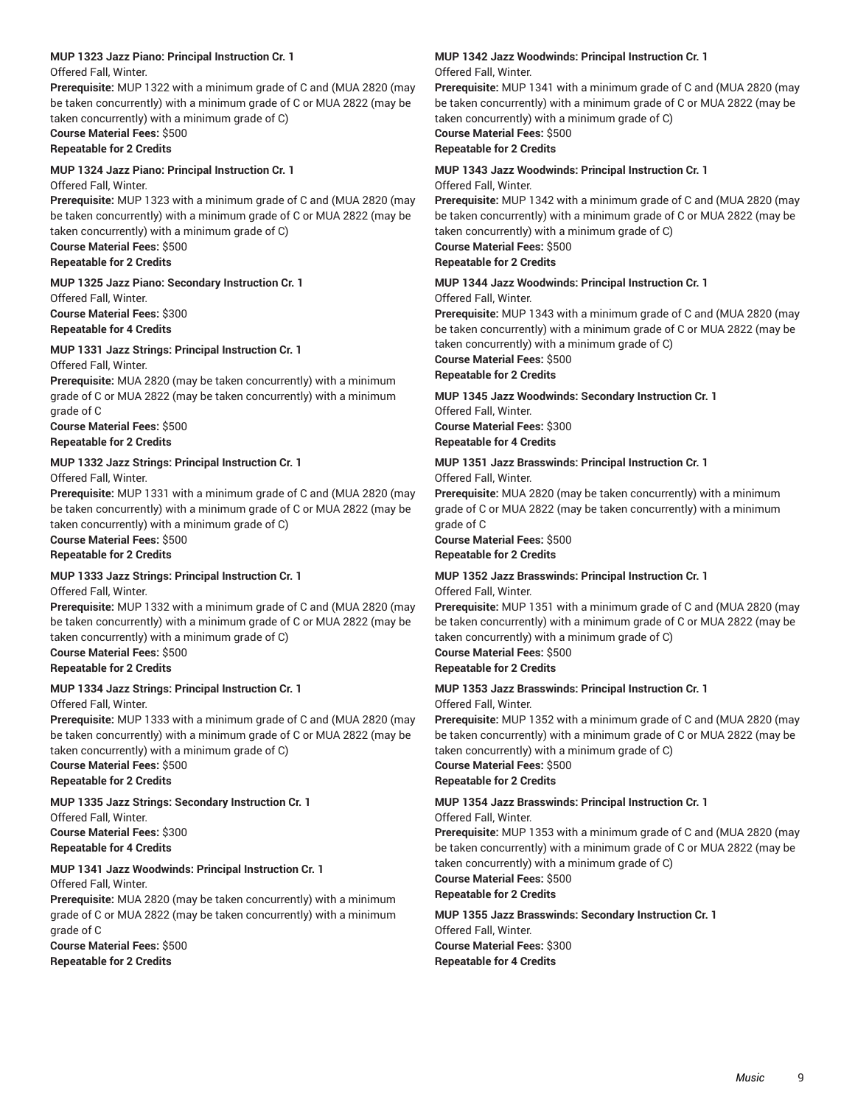### **MUP 1323 Jazz Piano: Principal Instruction Cr. 1**

Offered Fall, Winter.

**Prerequisite:** MUP 1322 with a minimum grade of C and (MUA 2820 (may be taken concurrently) with a minimum grade of C or MUA 2822 (may be taken concurrently) with a minimum grade of C)

### **Course Material Fees:** \$500

**Repeatable for 2 Credits**

### **MUP 1324 Jazz Piano: Principal Instruction Cr. 1**

Offered Fall, Winter.

**Prerequisite:** MUP 1323 with a minimum grade of C and (MUA 2820 (may be taken concurrently) with a minimum grade of C or MUA 2822 (may be taken concurrently) with a minimum grade of C)

### **Course Material Fees:** \$500

**Repeatable for 2 Credits**

**MUP 1325 Jazz Piano: Secondary Instruction Cr. 1**

Offered Fall, Winter.

**Course Material Fees:** \$300 **Repeatable for 4 Credits**

### **MUP 1331 Jazz Strings: Principal Instruction Cr. 1**

Offered Fall, Winter.

**Prerequisite:** MUA 2820 (may be taken concurrently) with a minimum grade of C or MUA 2822 (may be taken concurrently) with a minimum grade of C

**Course Material Fees:** \$500 **Repeatable for 2 Credits**

### **MUP 1332 Jazz Strings: Principal Instruction Cr. 1**

Offered Fall, Winter.

**Prerequisite:** MUP 1331 with a minimum grade of C and (MUA 2820 (may be taken concurrently) with a minimum grade of C or MUA 2822 (may be taken concurrently) with a minimum grade of C)

#### **Course Material Fees:** \$500 **Repeatable for 2 Credits**

### **MUP 1333 Jazz Strings: Principal Instruction Cr. 1**

Offered Fall, Winter.

**Prerequisite:** MUP 1332 with a minimum grade of C and (MUA 2820 (may be taken concurrently) with a minimum grade of C or MUA 2822 (may be taken concurrently) with a minimum grade of C)

**Course Material Fees:** \$500

**Repeatable for 2 Credits**

### **MUP 1334 Jazz Strings: Principal Instruction Cr. 1**

Offered Fall, Winter.

**Prerequisite:** MUP 1333 with a minimum grade of C and (MUA 2820 (may be taken concurrently) with a minimum grade of C or MUA 2822 (may be taken concurrently) with a minimum grade of C)

**Course Material Fees:** \$500 **Repeatable for 2 Credits**

### **MUP 1335 Jazz Strings: Secondary Instruction Cr. 1**

Offered Fall, Winter. **Course Material Fees:** \$300 **Repeatable for 4 Credits**

### **MUP 1341 Jazz Woodwinds: Principal Instruction Cr. 1**

Offered Fall, Winter.

**Prerequisite:** MUA 2820 (may be taken concurrently) with a minimum grade of C or MUA 2822 (may be taken concurrently) with a minimum grade of C

**Course Material Fees:** \$500 **Repeatable for 2 Credits**

### **MUP 1342 Jazz Woodwinds: Principal Instruction Cr. 1** Offered Fall, Winter.

**Prerequisite:** MUP 1341 with a minimum grade of C and (MUA 2820 (may be taken concurrently) with a minimum grade of C or MUA 2822 (may be taken concurrently) with a minimum grade of C) **Course Material Fees:** \$500

### **Repeatable for 2 Credits**

### **MUP 1343 Jazz Woodwinds: Principal Instruction Cr. 1** Offered Fall, Winter.

**Prerequisite:** MUP 1342 with a minimum grade of C and (MUA 2820 (may be taken concurrently) with a minimum grade of C or MUA 2822 (may be taken concurrently) with a minimum grade of C)

#### **Course Material Fees:** \$500 **Repeatable for 2 Credits**

### **MUP 1344 Jazz Woodwinds: Principal Instruction Cr. 1**

Offered Fall, Winter.

**Prerequisite:** MUP 1343 with a minimum grade of C and (MUA 2820 (may be taken concurrently) with a minimum grade of C or MUA 2822 (may be taken concurrently) with a minimum grade of C)

**Course Material Fees:** \$500

### **Repeatable for 2 Credits**

**MUP 1345 Jazz Woodwinds: Secondary Instruction Cr. 1**

Offered Fall, Winter. **Course Material Fees:** \$300 **Repeatable for 4 Credits**

# **MUP 1351 Jazz Brasswinds: Principal Instruction Cr. 1**

Offered Fall, Winter.

**Prerequisite:** MUA 2820 (may be taken concurrently) with a minimum grade of C or MUA 2822 (may be taken concurrently) with a minimum grade of C

**Course Material Fees:** \$500 **Repeatable for 2 Credits**

### **MUP 1352 Jazz Brasswinds: Principal Instruction Cr. 1** Offered Fall, Winter.

**Prerequisite:** MUP 1351 with a minimum grade of C and (MUA 2820 (may be taken concurrently) with a minimum grade of C or MUA 2822 (may be taken concurrently) with a minimum grade of C)

**Course Material Fees:** \$500 **Repeatable for 2 Credits**

# **MUP 1353 Jazz Brasswinds: Principal Instruction Cr. 1**

Offered Fall, Winter.

**Prerequisite:** MUP 1352 with a minimum grade of C and (MUA 2820 (may be taken concurrently) with a minimum grade of C or MUA 2822 (may be taken concurrently) with a minimum grade of C)

**Course Material Fees:** \$500 **Repeatable for 2 Credits**

### **MUP 1354 Jazz Brasswinds: Principal Instruction Cr. 1**

Offered Fall, Winter.

**Prerequisite:** MUP 1353 with a minimum grade of C and (MUA 2820 (may be taken concurrently) with a minimum grade of C or MUA 2822 (may be taken concurrently) with a minimum grade of C)

**Course Material Fees:** \$500

**Repeatable for 2 Credits**

### **MUP 1355 Jazz Brasswinds: Secondary Instruction Cr. 1** Offered Fall, Winter.

**Course Material Fees:** \$300 **Repeatable for 4 Credits**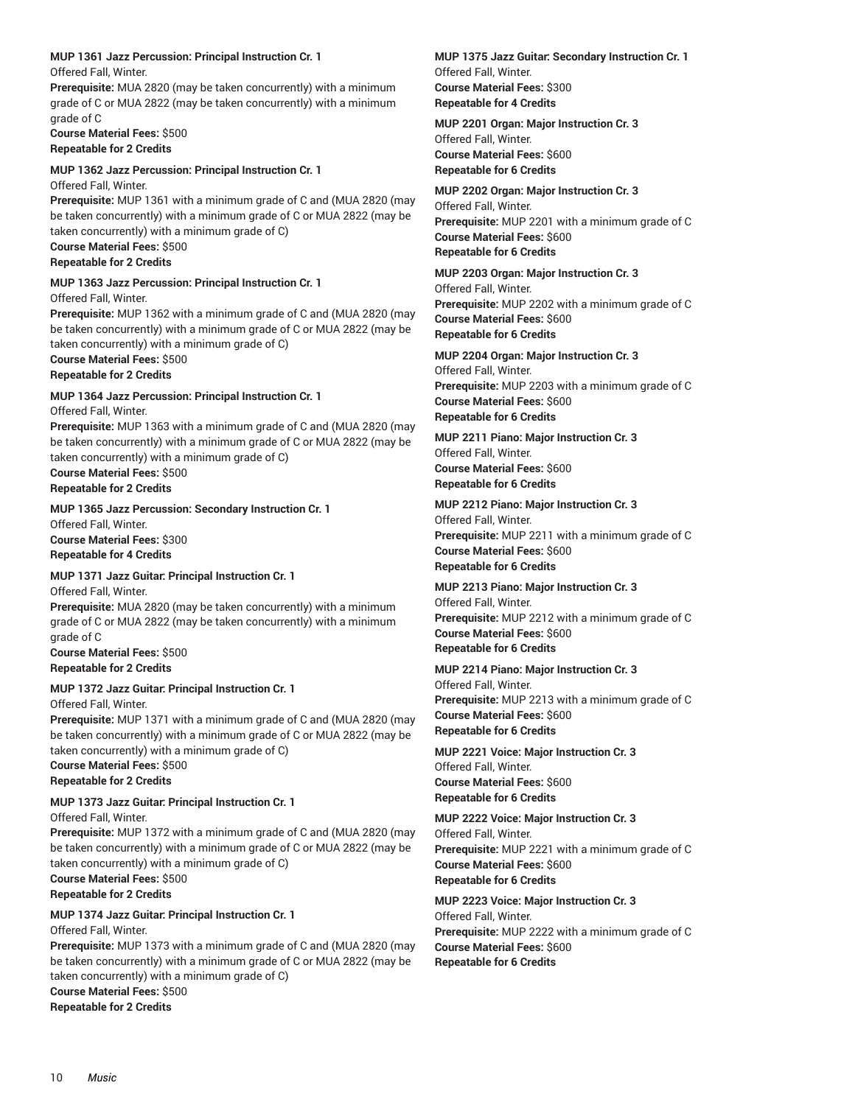### **MUP 1361 Jazz Percussion: Principal Instruction Cr. 1**

Offered Fall, Winter.

**Prerequisite:** MUA 2820 (may be taken concurrently) with a minimum grade of C or MUA 2822 (may be taken concurrently) with a minimum grade of C

**Course Material Fees:** \$500 **Repeatable for 2 Credits**

### **MUP 1362 Jazz Percussion: Principal Instruction Cr. 1**

Offered Fall, Winter.

**Prerequisite:** MUP 1361 with a minimum grade of C and (MUA 2820 (may be taken concurrently) with a minimum grade of C or MUA 2822 (may be taken concurrently) with a minimum grade of C)

**Course Material Fees:** \$500 **Repeatable for 2 Credits**

### **MUP 1363 Jazz Percussion: Principal Instruction Cr. 1**

Offered Fall, Winter.

**Prerequisite:** MUP 1362 with a minimum grade of C and (MUA 2820 (may be taken concurrently) with a minimum grade of C or MUA 2822 (may be taken concurrently) with a minimum grade of C)

### **Course Material Fees:** \$500

**Repeatable for 2 Credits**

### **MUP 1364 Jazz Percussion: Principal Instruction Cr. 1**

Offered Fall, Winter.

**Prerequisite:** MUP 1363 with a minimum grade of C and (MUA 2820 (may be taken concurrently) with a minimum grade of C or MUA 2822 (may be taken concurrently) with a minimum grade of C)

**Course Material Fees:** \$500 **Repeatable for 2 Credits**

### **MUP 1365 Jazz Percussion: Secondary Instruction Cr. 1**

Offered Fall, Winter. **Course Material Fees:** \$300 **Repeatable for 4 Credits**

### **MUP 1371 Jazz Guitar: Principal Instruction Cr. 1**

Offered Fall, Winter. **Prerequisite:** MUA 2820 (may be taken concurrently) with a minimum grade of C or MUA 2822 (may be taken concurrently) with a minimum grade of C

**Course Material Fees:** \$500 **Repeatable for 2 Credits**

**MUP 1372 Jazz Guitar: Principal Instruction Cr. 1** Offered Fall, Winter.

**Prerequisite:** MUP 1371 with a minimum grade of C and (MUA 2820 (may be taken concurrently) with a minimum grade of C or MUA 2822 (may be taken concurrently) with a minimum grade of C)

**Course Material Fees:** \$500 **Repeatable for 2 Credits**

### **MUP 1373 Jazz Guitar: Principal Instruction Cr. 1**

Offered Fall, Winter.

**Prerequisite:** MUP 1372 with a minimum grade of C and (MUA 2820 (may be taken concurrently) with a minimum grade of C or MUA 2822 (may be taken concurrently) with a minimum grade of C)

**Course Material Fees:** \$500 **Repeatable for 2 Credits**

### **MUP 1374 Jazz Guitar: Principal Instruction Cr. 1**

Offered Fall, Winter.

**Prerequisite:** MUP 1373 with a minimum grade of C and (MUA 2820 (may be taken concurrently) with a minimum grade of C or MUA 2822 (may be taken concurrently) with a minimum grade of C)

**Course Material Fees:** \$500 **Repeatable for 2 Credits**

**MUP 1375 Jazz Guitar: Secondary Instruction Cr. 1** Offered Fall, Winter. **Course Material Fees:** \$300 **Repeatable for 4 Credits**

### **MUP 2201 Organ: Major Instruction Cr. 3** Offered Fall, Winter. **Course Material Fees:** \$600 **Repeatable for 6 Credits**

**MUP 2202 Organ: Major Instruction Cr. 3** Offered Fall, Winter. **Prerequisite:** MUP 2201 with a minimum grade of C **Course Material Fees:** \$600 **Repeatable for 6 Credits**

**MUP 2203 Organ: Major Instruction Cr. 3** Offered Fall, Winter. **Prerequisite:** MUP 2202 with a minimum grade of C **Course Material Fees:** \$600 **Repeatable for 6 Credits**

### **MUP 2204 Organ: Major Instruction Cr. 3**

Offered Fall, Winter. **Prerequisite:** MUP 2203 with a minimum grade of C **Course Material Fees:** \$600 **Repeatable for 6 Credits**

**MUP 2211 Piano: Major Instruction Cr. 3** Offered Fall, Winter. **Course Material Fees:** \$600 **Repeatable for 6 Credits**

**MUP 2212 Piano: Major Instruction Cr. 3** Offered Fall, Winter. **Prerequisite:** MUP 2211 with a minimum grade of C **Course Material Fees:** \$600 **Repeatable for 6 Credits**

### **MUP 2213 Piano: Major Instruction Cr. 3** Offered Fall, Winter. **Prerequisite:** MUP 2212 with a minimum grade of C **Course Material Fees:** \$600

**Repeatable for 6 Credits**

### **MUP 2214 Piano: Major Instruction Cr. 3** Offered Fall, Winter. **Prerequisite:** MUP 2213 with a minimum grade of C **Course Material Fees:** \$600 **Repeatable for 6 Credits**

**MUP 2221 Voice: Major Instruction Cr. 3** Offered Fall, Winter. **Course Material Fees:** \$600 **Repeatable for 6 Credits**

### **MUP 2222 Voice: Major Instruction Cr. 3** Offered Fall, Winter. **Prerequisite:** MUP 2221 with a minimum grade of C **Course Material Fees:** \$600

**Repeatable for 6 Credits**

### **MUP 2223 Voice: Major Instruction Cr. 3** Offered Fall, Winter.

**Prerequisite:** MUP 2222 with a minimum grade of C **Course Material Fees:** \$600 **Repeatable for 6 Credits**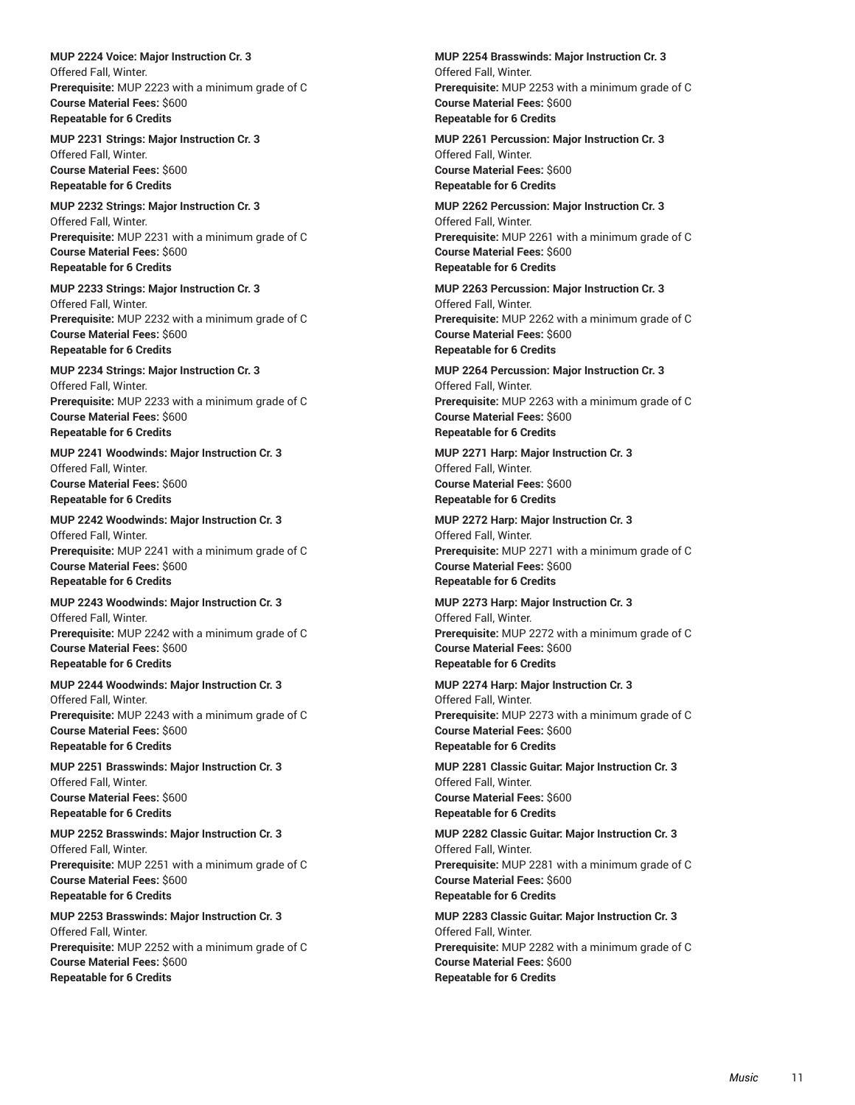**MUP 2224 Voice: Major Instruction Cr. 3** Offered Fall, Winter. **Prerequisite:** MUP 2223 with a minimum grade of C **Course Material Fees:** \$600 **Repeatable for 6 Credits**

**MUP 2231 Strings: Major Instruction Cr. 3** Offered Fall, Winter. **Course Material Fees:** \$600 **Repeatable for 6 Credits**

**MUP 2232 Strings: Major Instruction Cr. 3** Offered Fall, Winter. **Prerequisite:** MUP 2231 with a minimum grade of C **Course Material Fees:** \$600 **Repeatable for 6 Credits**

**MUP 2233 Strings: Major Instruction Cr. 3** Offered Fall, Winter. **Prerequisite:** MUP 2232 with a minimum grade of C **Course Material Fees:** \$600 **Repeatable for 6 Credits**

**MUP 2234 Strings: Major Instruction Cr. 3** Offered Fall, Winter. **Prerequisite:** MUP 2233 with a minimum grade of C **Course Material Fees:** \$600 **Repeatable for 6 Credits**

**MUP 2241 Woodwinds: Major Instruction Cr. 3** Offered Fall, Winter. **Course Material Fees:** \$600 **Repeatable for 6 Credits**

**MUP 2242 Woodwinds: Major Instruction Cr. 3** Offered Fall, Winter. **Prerequisite:** MUP 2241 with a minimum grade of C **Course Material Fees:** \$600 **Repeatable for 6 Credits**

**MUP 2243 Woodwinds: Major Instruction Cr. 3** Offered Fall, Winter. **Prerequisite:** MUP 2242 with a minimum grade of C **Course Material Fees:** \$600 **Repeatable for 6 Credits**

**MUP 2244 Woodwinds: Major Instruction Cr. 3** Offered Fall, Winter. **Prerequisite:** MUP 2243 with a minimum grade of C **Course Material Fees:** \$600 **Repeatable for 6 Credits**

**MUP 2251 Brasswinds: Major Instruction Cr. 3** Offered Fall, Winter. **Course Material Fees:** \$600 **Repeatable for 6 Credits**

**MUP 2252 Brasswinds: Major Instruction Cr. 3** Offered Fall, Winter. **Prerequisite:** MUP 2251 with a minimum grade of C **Course Material Fees:** \$600 **Repeatable for 6 Credits**

**MUP 2253 Brasswinds: Major Instruction Cr. 3** Offered Fall, Winter. **Prerequisite:** MUP 2252 with a minimum grade of C **Course Material Fees:** \$600 **Repeatable for 6 Credits**

**MUP 2254 Brasswinds: Major Instruction Cr. 3** Offered Fall, Winter. **Prerequisite:** MUP 2253 with a minimum grade of C **Course Material Fees:** \$600 **Repeatable for 6 Credits**

**MUP 2261 Percussion: Major Instruction Cr. 3** Offered Fall, Winter. **Course Material Fees:** \$600 **Repeatable for 6 Credits**

**MUP 2262 Percussion: Major Instruction Cr. 3** Offered Fall, Winter. **Prerequisite:** MUP 2261 with a minimum grade of C **Course Material Fees:** \$600 **Repeatable for 6 Credits**

**MUP 2263 Percussion: Major Instruction Cr. 3** Offered Fall, Winter. **Prerequisite:** MUP 2262 with a minimum grade of C **Course Material Fees:** \$600 **Repeatable for 6 Credits**

**MUP 2264 Percussion: Major Instruction Cr. 3** Offered Fall, Winter. **Prerequisite:** MUP 2263 with a minimum grade of C **Course Material Fees:** \$600 **Repeatable for 6 Credits**

**MUP 2271 Harp: Major Instruction Cr. 3** Offered Fall, Winter. **Course Material Fees:** \$600 **Repeatable for 6 Credits**

**MUP 2272 Harp: Major Instruction Cr. 3** Offered Fall, Winter. **Prerequisite:** MUP 2271 with a minimum grade of C **Course Material Fees:** \$600 **Repeatable for 6 Credits**

**MUP 2273 Harp: Major Instruction Cr. 3** Offered Fall, Winter. **Prerequisite:** MUP 2272 with a minimum grade of C **Course Material Fees:** \$600 **Repeatable for 6 Credits**

**MUP 2274 Harp: Major Instruction Cr. 3** Offered Fall, Winter. **Prerequisite:** MUP 2273 with a minimum grade of C **Course Material Fees:** \$600 **Repeatable for 6 Credits**

**MUP 2281 Classic Guitar: Major Instruction Cr. 3** Offered Fall, Winter. **Course Material Fees:** \$600 **Repeatable for 6 Credits**

**MUP 2282 Classic Guitar: Major Instruction Cr. 3** Offered Fall, Winter. **Prerequisite:** MUP 2281 with a minimum grade of C **Course Material Fees:** \$600 **Repeatable for 6 Credits**

**MUP 2283 Classic Guitar: Major Instruction Cr. 3** Offered Fall, Winter. **Prerequisite:** MUP 2282 with a minimum grade of C **Course Material Fees:** \$600 **Repeatable for 6 Credits**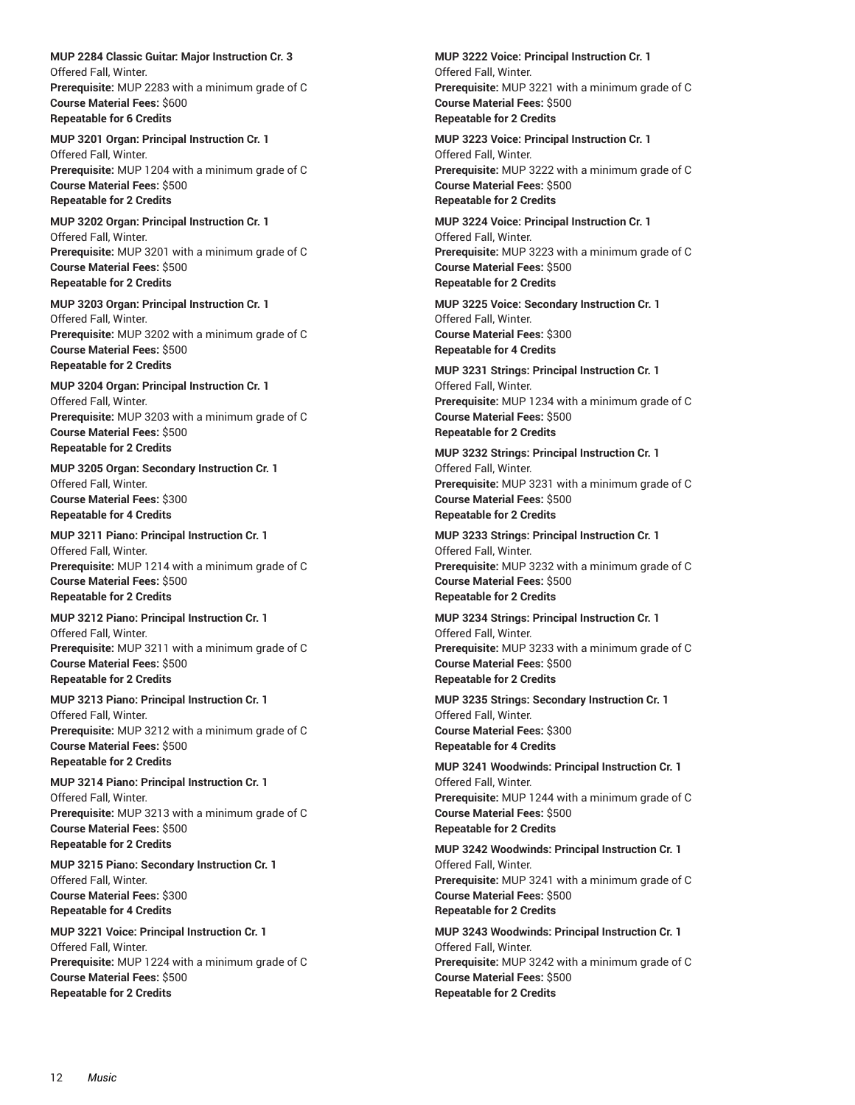**MUP 2284 Classic Guitar: Major Instruction Cr. 3** Offered Fall, Winter. **Prerequisite:** MUP 2283 with a minimum grade of C **Course Material Fees:** \$600 **Repeatable for 6 Credits**

**MUP 3201 Organ: Principal Instruction Cr. 1** Offered Fall, Winter. **Prerequisite:** MUP 1204 with a minimum grade of C **Course Material Fees:** \$500 **Repeatable for 2 Credits**

**MUP 3202 Organ: Principal Instruction Cr. 1** Offered Fall, Winter. **Prerequisite:** MUP 3201 with a minimum grade of C **Course Material Fees:** \$500 **Repeatable for 2 Credits**

**MUP 3203 Organ: Principal Instruction Cr. 1** Offered Fall, Winter. **Prerequisite:** MUP 3202 with a minimum grade of C **Course Material Fees:** \$500 **Repeatable for 2 Credits**

**MUP 3204 Organ: Principal Instruction Cr. 1** Offered Fall, Winter. **Prerequisite:** MUP 3203 with a minimum grade of C **Course Material Fees:** \$500 **Repeatable for 2 Credits**

**MUP 3205 Organ: Secondary Instruction Cr. 1** Offered Fall, Winter. **Course Material Fees:** \$300 **Repeatable for 4 Credits**

**MUP 3211 Piano: Principal Instruction Cr. 1** Offered Fall, Winter. **Prerequisite:** MUP 1214 with a minimum grade of C **Course Material Fees:** \$500 **Repeatable for 2 Credits**

**MUP 3212 Piano: Principal Instruction Cr. 1** Offered Fall, Winter. **Prerequisite:** MUP 3211 with a minimum grade of C **Course Material Fees:** \$500 **Repeatable for 2 Credits**

**MUP 3213 Piano: Principal Instruction Cr. 1** Offered Fall, Winter. **Prerequisite:** MUP 3212 with a minimum grade of C **Course Material Fees:** \$500 **Repeatable for 2 Credits**

**MUP 3214 Piano: Principal Instruction Cr. 1** Offered Fall, Winter. **Prerequisite:** MUP 3213 with a minimum grade of C **Course Material Fees:** \$500 **Repeatable for 2 Credits**

**MUP 3215 Piano: Secondary Instruction Cr. 1** Offered Fall, Winter. **Course Material Fees:** \$300 **Repeatable for 4 Credits**

**MUP 3221 Voice: Principal Instruction Cr. 1** Offered Fall, Winter. **Prerequisite:** MUP 1224 with a minimum grade of C **Course Material Fees:** \$500 **Repeatable for 2 Credits**

**MUP 3222 Voice: Principal Instruction Cr. 1** Offered Fall, Winter. **Prerequisite:** MUP 3221 with a minimum grade of C **Course Material Fees:** \$500 **Repeatable for 2 Credits**

**MUP 3223 Voice: Principal Instruction Cr. 1** Offered Fall, Winter. **Prerequisite:** MUP 3222 with a minimum grade of C **Course Material Fees:** \$500 **Repeatable for 2 Credits**

**MUP 3224 Voice: Principal Instruction Cr. 1** Offered Fall, Winter. **Prerequisite:** MUP 3223 with a minimum grade of C **Course Material Fees:** \$500 **Repeatable for 2 Credits**

**MUP 3225 Voice: Secondary Instruction Cr. 1** Offered Fall, Winter. **Course Material Fees:** \$300 **Repeatable for 4 Credits**

**MUP 3231 Strings: Principal Instruction Cr. 1** Offered Fall, Winter. **Prerequisite:** MUP 1234 with a minimum grade of C **Course Material Fees:** \$500 **Repeatable for 2 Credits**

**MUP 3232 Strings: Principal Instruction Cr. 1** Offered Fall, Winter. **Prerequisite:** MUP 3231 with a minimum grade of C **Course Material Fees:** \$500 **Repeatable for 2 Credits**

**MUP 3233 Strings: Principal Instruction Cr. 1** Offered Fall, Winter. **Prerequisite:** MUP 3232 with a minimum grade of C **Course Material Fees:** \$500 **Repeatable for 2 Credits**

**MUP 3234 Strings: Principal Instruction Cr. 1** Offered Fall, Winter. **Prerequisite:** MUP 3233 with a minimum grade of C **Course Material Fees:** \$500 **Repeatable for 2 Credits**

**MUP 3235 Strings: Secondary Instruction Cr. 1** Offered Fall, Winter. **Course Material Fees:** \$300 **Repeatable for 4 Credits**

**MUP 3241 Woodwinds: Principal Instruction Cr. 1** Offered Fall, Winter. **Prerequisite:** MUP 1244 with a minimum grade of C **Course Material Fees:** \$500 **Repeatable for 2 Credits**

**MUP 3242 Woodwinds: Principal Instruction Cr. 1** Offered Fall, Winter. **Prerequisite:** MUP 3241 with a minimum grade of C **Course Material Fees:** \$500 **Repeatable for 2 Credits**

**MUP 3243 Woodwinds: Principal Instruction Cr. 1** Offered Fall, Winter. **Prerequisite:** MUP 3242 with a minimum grade of C **Course Material Fees:** \$500 **Repeatable for 2 Credits**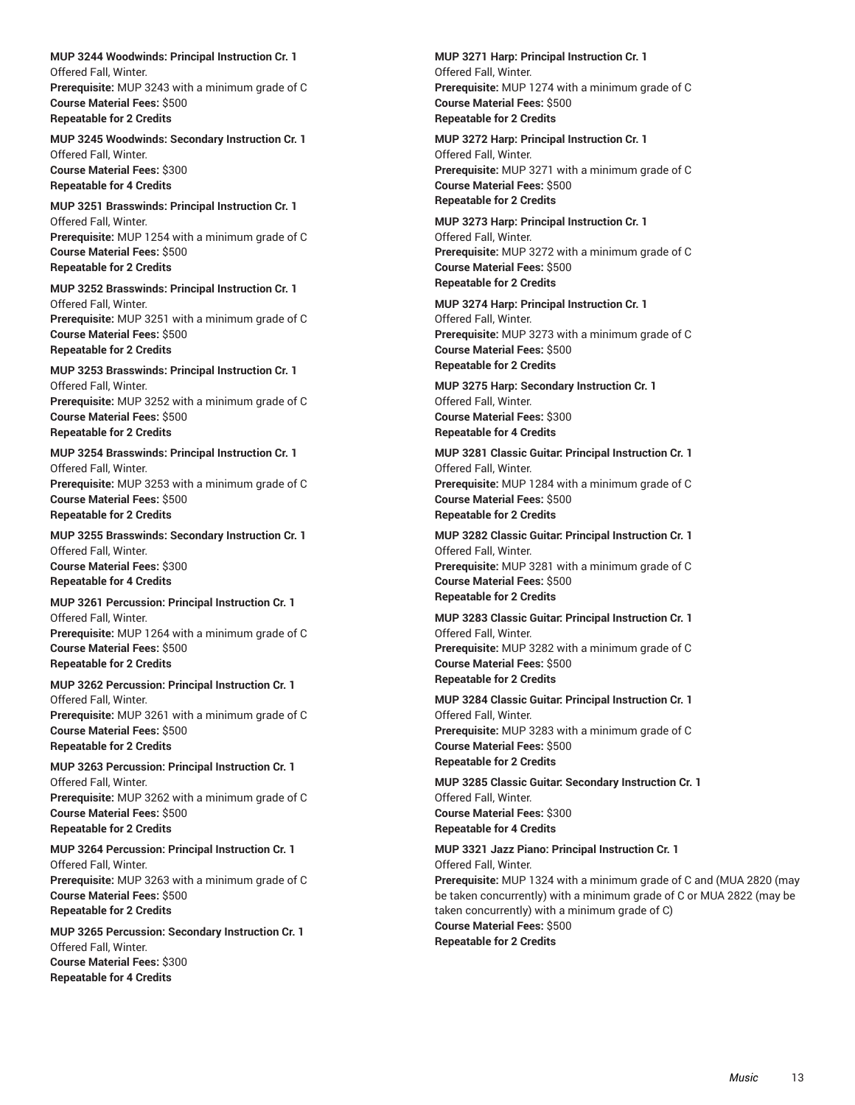**MUP 3244 Woodwinds: Principal Instruction Cr. 1** Offered Fall, Winter. **Prerequisite:** MUP 3243 with a minimum grade of C **Course Material Fees:** \$500 **Repeatable for 2 Credits**

**MUP 3245 Woodwinds: Secondary Instruction Cr. 1** Offered Fall, Winter. **Course Material Fees:** \$300 **Repeatable for 4 Credits**

**MUP 3251 Brasswinds: Principal Instruction Cr. 1** Offered Fall, Winter. **Prerequisite:** MUP 1254 with a minimum grade of C **Course Material Fees:** \$500 **Repeatable for 2 Credits**

**MUP 3252 Brasswinds: Principal Instruction Cr. 1** Offered Fall, Winter. **Prerequisite:** MUP 3251 with a minimum grade of C **Course Material Fees:** \$500 **Repeatable for 2 Credits**

**MUP 3253 Brasswinds: Principal Instruction Cr. 1** Offered Fall, Winter. **Prerequisite:** MUP 3252 with a minimum grade of C **Course Material Fees:** \$500 **Repeatable for 2 Credits**

**MUP 3254 Brasswinds: Principal Instruction Cr. 1** Offered Fall, Winter. **Prerequisite:** MUP 3253 with a minimum grade of C **Course Material Fees:** \$500 **Repeatable for 2 Credits**

**MUP 3255 Brasswinds: Secondary Instruction Cr. 1** Offered Fall, Winter. **Course Material Fees:** \$300 **Repeatable for 4 Credits**

**MUP 3261 Percussion: Principal Instruction Cr. 1** Offered Fall, Winter. **Prerequisite:** MUP 1264 with a minimum grade of C **Course Material Fees:** \$500 **Repeatable for 2 Credits**

**MUP 3262 Percussion: Principal Instruction Cr. 1** Offered Fall, Winter. **Prerequisite:** MUP 3261 with a minimum grade of C **Course Material Fees:** \$500 **Repeatable for 2 Credits**

**MUP 3263 Percussion: Principal Instruction Cr. 1** Offered Fall, Winter. **Prerequisite:** MUP 3262 with a minimum grade of C **Course Material Fees:** \$500 **Repeatable for 2 Credits**

**MUP 3264 Percussion: Principal Instruction Cr. 1** Offered Fall, Winter. **Prerequisite:** MUP 3263 with a minimum grade of C **Course Material Fees:** \$500 **Repeatable for 2 Credits**

**MUP 3265 Percussion: Secondary Instruction Cr. 1** Offered Fall, Winter. **Course Material Fees:** \$300 **Repeatable for 4 Credits**

**MUP 3271 Harp: Principal Instruction Cr. 1** Offered Fall, Winter. **Prerequisite:** MUP 1274 with a minimum grade of C **Course Material Fees:** \$500 **Repeatable for 2 Credits**

**MUP 3272 Harp: Principal Instruction Cr. 1** Offered Fall, Winter. **Prerequisite:** MUP 3271 with a minimum grade of C **Course Material Fees:** \$500 **Repeatable for 2 Credits**

**MUP 3273 Harp: Principal Instruction Cr. 1** Offered Fall, Winter. **Prerequisite:** MUP 3272 with a minimum grade of C **Course Material Fees:** \$500 **Repeatable for 2 Credits**

**MUP 3274 Harp: Principal Instruction Cr. 1** Offered Fall, Winter. **Prerequisite:** MUP 3273 with a minimum grade of C **Course Material Fees:** \$500 **Repeatable for 2 Credits**

**MUP 3275 Harp: Secondary Instruction Cr. 1** Offered Fall, Winter. **Course Material Fees:** \$300 **Repeatable for 4 Credits**

**MUP 3281 Classic Guitar: Principal Instruction Cr. 1** Offered Fall, Winter. **Prerequisite:** MUP 1284 with a minimum grade of C **Course Material Fees:** \$500 **Repeatable for 2 Credits**

**MUP 3282 Classic Guitar: Principal Instruction Cr. 1** Offered Fall, Winter. **Prerequisite:** MUP 3281 with a minimum grade of C **Course Material Fees:** \$500 **Repeatable for 2 Credits**

**MUP 3283 Classic Guitar: Principal Instruction Cr. 1** Offered Fall, Winter. **Prerequisite:** MUP 3282 with a minimum grade of C **Course Material Fees:** \$500 **Repeatable for 2 Credits**

**MUP 3284 Classic Guitar: Principal Instruction Cr. 1** Offered Fall, Winter. **Prerequisite:** MUP 3283 with a minimum grade of C **Course Material Fees:** \$500 **Repeatable for 2 Credits**

**MUP 3285 Classic Guitar: Secondary Instruction Cr. 1** Offered Fall, Winter. **Course Material Fees:** \$300 **Repeatable for 4 Credits**

**MUP 3321 Jazz Piano: Principal Instruction Cr. 1** Offered Fall, Winter. **Prerequisite:** MUP 1324 with a minimum grade of C and (MUA 2820 (may be taken concurrently) with a minimum grade of C or MUA 2822 (may be taken concurrently) with a minimum grade of C) **Course Material Fees:** \$500 **Repeatable for 2 Credits**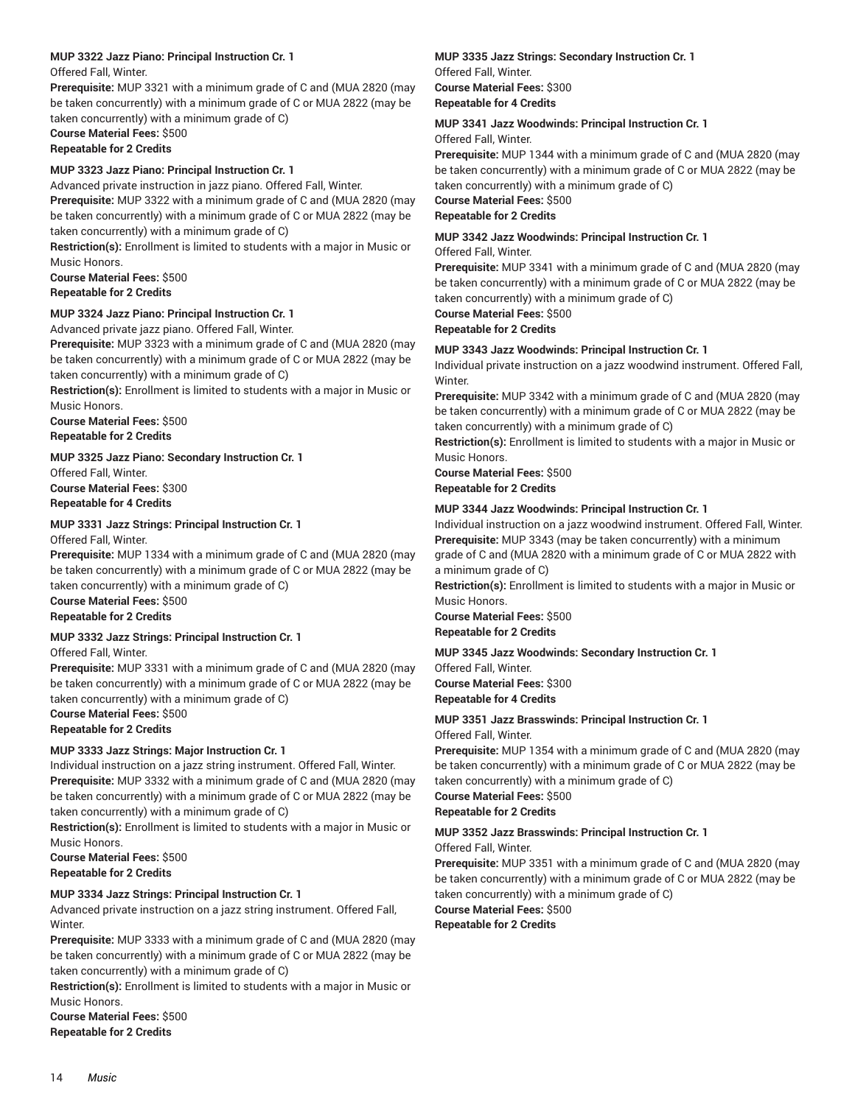### **MUP 3322 Jazz Piano: Principal Instruction Cr. 1**

Offered Fall, Winter.

**Prerequisite:** MUP 3321 with a minimum grade of C and (MUA 2820 (may be taken concurrently) with a minimum grade of C or MUA 2822 (may be taken concurrently) with a minimum grade of C)

### **Course Material Fees:** \$500

**Repeatable for 2 Credits**

### **MUP 3323 Jazz Piano: Principal Instruction Cr. 1**

Advanced private instruction in jazz piano. Offered Fall, Winter.

**Prerequisite:** MUP 3322 with a minimum grade of C and (MUA 2820 (may be taken concurrently) with a minimum grade of C or MUA 2822 (may be taken concurrently) with a minimum grade of C)

**Restriction(s):** Enrollment is limited to students with a major in Music or Music Honors.

**Course Material Fees:** \$500

**Repeatable for 2 Credits**

### **MUP 3324 Jazz Piano: Principal Instruction Cr. 1**

Advanced private jazz piano. Offered Fall, Winter.

**Prerequisite:** MUP 3323 with a minimum grade of C and (MUA 2820 (may be taken concurrently) with a minimum grade of C or MUA 2822 (may be taken concurrently) with a minimum grade of C)

**Restriction(s):** Enrollment is limited to students with a major in Music or Music Honors.

**Course Material Fees:** \$500 **Repeatable for 2 Credits**

### **MUP 3325 Jazz Piano: Secondary Instruction Cr. 1**

Offered Fall, Winter. **Course Material Fees:** \$300 **Repeatable for 4 Credits**

### **MUP 3331 Jazz Strings: Principal Instruction Cr. 1**

Offered Fall, Winter.

**Prerequisite:** MUP 1334 with a minimum grade of C and (MUA 2820 (may be taken concurrently) with a minimum grade of C or MUA 2822 (may be taken concurrently) with a minimum grade of C) **Course Material Fees:** \$500

### **Repeatable for 2 Credits**

### **MUP 3332 Jazz Strings: Principal Instruction Cr. 1**

Offered Fall, Winter.

**Prerequisite:** MUP 3331 with a minimum grade of C and (MUA 2820 (may be taken concurrently) with a minimum grade of C or MUA 2822 (may be taken concurrently) with a minimum grade of C)

## **Course Material Fees:** \$500

**Repeatable for 2 Credits**

### **MUP 3333 Jazz Strings: Major Instruction Cr. 1**

Individual instruction on a jazz string instrument. Offered Fall, Winter. **Prerequisite:** MUP 3332 with a minimum grade of C and (MUA 2820 (may be taken concurrently) with a minimum grade of C or MUA 2822 (may be taken concurrently) with a minimum grade of C)

**Restriction(s):** Enrollment is limited to students with a major in Music or Music Honors.

**Course Material Fees:** \$500 **Repeatable for 2 Credits**

### **MUP 3334 Jazz Strings: Principal Instruction Cr. 1**

Advanced private instruction on a jazz string instrument. Offered Fall, Winter.

**Prerequisite:** MUP 3333 with a minimum grade of C and (MUA 2820 (may be taken concurrently) with a minimum grade of C or MUA 2822 (may be taken concurrently) with a minimum grade of C)

**Restriction(s):** Enrollment is limited to students with a major in Music or Music Honors.

**Course Material Fees:** \$500 **Repeatable for 2 Credits**

### **MUP 3335 Jazz Strings: Secondary Instruction Cr. 1** Offered Fall, Winter. **Course Material Fees:** \$300

### **Repeatable for 4 Credits**

### **MUP 3341 Jazz Woodwinds: Principal Instruction Cr. 1**

Offered Fall, Winter.

**Prerequisite:** MUP 1344 with a minimum grade of C and (MUA 2820 (may be taken concurrently) with a minimum grade of C or MUA 2822 (may be taken concurrently) with a minimum grade of C) **Course Material Fees:** \$500

**Repeatable for 2 Credits**

### **MUP 3342 Jazz Woodwinds: Principal Instruction Cr. 1**

### Offered Fall, Winter.

**Prerequisite:** MUP 3341 with a minimum grade of C and (MUA 2820 (may be taken concurrently) with a minimum grade of C or MUA 2822 (may be taken concurrently) with a minimum grade of C)

**Course Material Fees:** \$500

**Repeatable for 2 Credits**

### **MUP 3343 Jazz Woodwinds: Principal Instruction Cr. 1**

Individual private instruction on a jazz woodwind instrument. Offered Fall, Winter.

**Prerequisite:** MUP 3342 with a minimum grade of C and (MUA 2820 (may be taken concurrently) with a minimum grade of C or MUA 2822 (may be taken concurrently) with a minimum grade of C)

**Restriction(s):** Enrollment is limited to students with a major in Music or Music Honors.

**Course Material Fees:** \$500 **Repeatable for 2 Credits**

### **MUP 3344 Jazz Woodwinds: Principal Instruction Cr. 1**

Individual instruction on a jazz woodwind instrument. Offered Fall, Winter. **Prerequisite:** MUP 3343 (may be taken concurrently) with a minimum grade of C and (MUA 2820 with a minimum grade of C or MUA 2822 with

a minimum grade of C)

**Restriction(s):** Enrollment is limited to students with a major in Music or Music Honors.

**Course Material Fees:** \$500

## **Repeatable for 2 Credits**

**MUP 3345 Jazz Woodwinds: Secondary Instruction Cr. 1** Offered Fall, Winter.

**Course Material Fees:** \$300

**Repeatable for 4 Credits**

#### **MUP 3351 Jazz Brasswinds: Principal Instruction Cr. 1** Offered Fall, Winter.

**Prerequisite:** MUP 1354 with a minimum grade of C and (MUA 2820 (may be taken concurrently) with a minimum grade of C or MUA 2822 (may be taken concurrently) with a minimum grade of C)

**Course Material Fees:** \$500

### **Repeatable for 2 Credits**

#### **MUP 3352 Jazz Brasswinds: Principal Instruction Cr. 1** Offered Fall, Winter.

**Prerequisite:** MUP 3351 with a minimum grade of C and (MUA 2820 (may

be taken concurrently) with a minimum grade of C or MUA 2822 (may be taken concurrently) with a minimum grade of C)

**Course Material Fees:** \$500

**Repeatable for 2 Credits**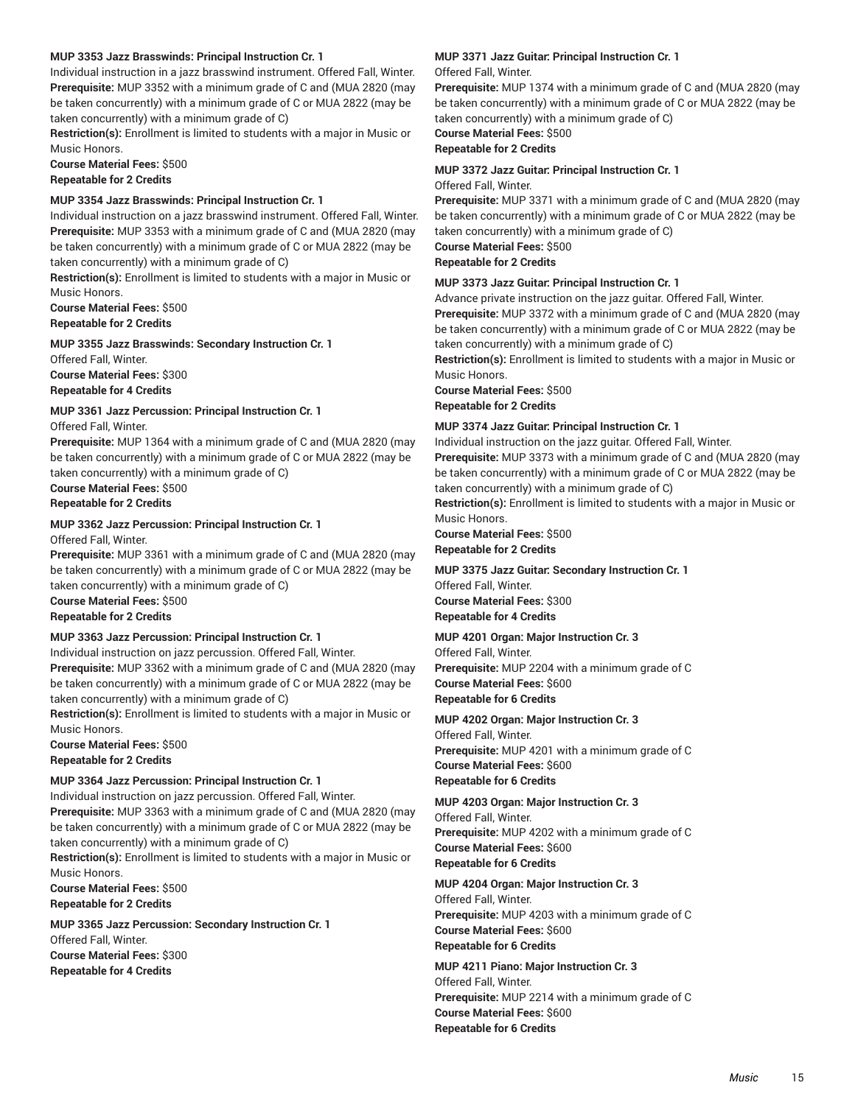### **MUP 3353 Jazz Brasswinds: Principal Instruction Cr. 1**

Individual instruction in a jazz brasswind instrument. Offered Fall, Winter. **Prerequisite:** MUP 3352 with a minimum grade of C and (MUA 2820 (may be taken concurrently) with a minimum grade of C or MUA 2822 (may be taken concurrently) with a minimum grade of C)

**Restriction(s):** Enrollment is limited to students with a major in Music or Music Honors.

**Course Material Fees:** \$500 **Repeatable for 2 Credits**

### **MUP 3354 Jazz Brasswinds: Principal Instruction Cr. 1**

Individual instruction on a jazz brasswind instrument. Offered Fall, Winter. **Prerequisite:** MUP 3353 with a minimum grade of C and (MUA 2820 (may be taken concurrently) with a minimum grade of C or MUA 2822 (may be taken concurrently) with a minimum grade of C)

**Restriction(s):** Enrollment is limited to students with a major in Music or Music Honors.

**Course Material Fees:** \$500 **Repeatable for 2 Credits**

**MUP 3355 Jazz Brasswinds: Secondary Instruction Cr. 1**

Offered Fall, Winter. **Course Material Fees:** \$300 **Repeatable for 4 Credits**

### **MUP 3361 Jazz Percussion: Principal Instruction Cr. 1**

Offered Fall, Winter.

**Prerequisite:** MUP 1364 with a minimum grade of C and (MUA 2820 (may be taken concurrently) with a minimum grade of C or MUA 2822 (may be taken concurrently) with a minimum grade of C)

**Course Material Fees:** \$500 **Repeatable for 2 Credits**

### **MUP 3362 Jazz Percussion: Principal Instruction Cr. 1**

Offered Fall, Winter.

**Prerequisite:** MUP 3361 with a minimum grade of C and (MUA 2820 (may be taken concurrently) with a minimum grade of C or MUA 2822 (may be taken concurrently) with a minimum grade of C)

**Course Material Fees:** \$500 **Repeatable for 2 Credits**

### **MUP 3363 Jazz Percussion: Principal Instruction Cr. 1**

Individual instruction on jazz percussion. Offered Fall, Winter. **Prerequisite:** MUP 3362 with a minimum grade of C and (MUA 2820 (may be taken concurrently) with a minimum grade of C or MUA 2822 (may be taken concurrently) with a minimum grade of C)

**Restriction(s):** Enrollment is limited to students with a major in Music or Music Honors.

**Course Material Fees:** \$500 **Repeatable for 2 Credits**

### **MUP 3364 Jazz Percussion: Principal Instruction Cr. 1**

Individual instruction on jazz percussion. Offered Fall, Winter. **Prerequisite:** MUP 3363 with a minimum grade of C and (MUA 2820 (may be taken concurrently) with a minimum grade of C or MUA 2822 (may be taken concurrently) with a minimum grade of C)

**Restriction(s):** Enrollment is limited to students with a major in Music or Music Honors.

**Course Material Fees:** \$500 **Repeatable for 2 Credits**

**MUP 3365 Jazz Percussion: Secondary Instruction Cr. 1** Offered Fall, Winter. **Course Material Fees:** \$300 **Repeatable for 4 Credits**

## **MUP 3371 Jazz Guitar: Principal Instruction Cr. 1**

Offered Fall, Winter.

**Prerequisite:** MUP 1374 with a minimum grade of C and (MUA 2820 (may be taken concurrently) with a minimum grade of C or MUA 2822 (may be taken concurrently) with a minimum grade of C)

**Course Material Fees:** \$500

### **Repeatable for 2 Credits**

### **MUP 3372 Jazz Guitar: Principal Instruction Cr. 1**

Offered Fall, Winter.

**Prerequisite:** MUP 3371 with a minimum grade of C and (MUA 2820 (may be taken concurrently) with a minimum grade of C or MUA 2822 (may be taken concurrently) with a minimum grade of C)

**Course Material Fees:** \$500 **Repeatable for 2 Credits**

### **MUP 3373 Jazz Guitar: Principal Instruction Cr. 1**

Advance private instruction on the jazz guitar. Offered Fall, Winter. **Prerequisite:** MUP 3372 with a minimum grade of C and (MUA 2820 (may be taken concurrently) with a minimum grade of C or MUA 2822 (may be taken concurrently) with a minimum grade of C)

**Restriction(s):** Enrollment is limited to students with a major in Music or Music Honors.

**Course Material Fees:** \$500

**Repeatable for 2 Credits**

### **MUP 3374 Jazz Guitar: Principal Instruction Cr. 1**

Individual instruction on the jazz guitar. Offered Fall, Winter. **Prerequisite:** MUP 3373 with a minimum grade of C and (MUA 2820 (may be taken concurrently) with a minimum grade of C or MUA 2822 (may be taken concurrently) with a minimum grade of C)

**Restriction(s):** Enrollment is limited to students with a major in Music or Music Honors.

**Course Material Fees:** \$500 **Repeatable for 2 Credits**

### **MUP 3375 Jazz Guitar: Secondary Instruction Cr. 1**

Offered Fall, Winter. **Course Material Fees:** \$300 **Repeatable for 4 Credits**

### **MUP 4201 Organ: Major Instruction Cr. 3**

Offered Fall, Winter. **Prerequisite:** MUP 2204 with a minimum grade of C **Course Material Fees:** \$600 **Repeatable for 6 Credits**

### **MUP 4202 Organ: Major Instruction Cr. 3**

Offered Fall, Winter. **Prerequisite:** MUP 4201 with a minimum grade of C **Course Material Fees:** \$600 **Repeatable for 6 Credits**

### **MUP 4203 Organ: Major Instruction Cr. 3**

Offered Fall, Winter. **Prerequisite:** MUP 4202 with a minimum grade of C **Course Material Fees:** \$600 **Repeatable for 6 Credits**

### **MUP 4204 Organ: Major Instruction Cr. 3**

Offered Fall, Winter. **Prerequisite:** MUP 4203 with a minimum grade of C **Course Material Fees:** \$600 **Repeatable for 6 Credits**

**MUP 4211 Piano: Major Instruction Cr. 3** Offered Fall, Winter. **Prerequisite:** MUP 2214 with a minimum grade of C **Course Material Fees:** \$600 **Repeatable for 6 Credits**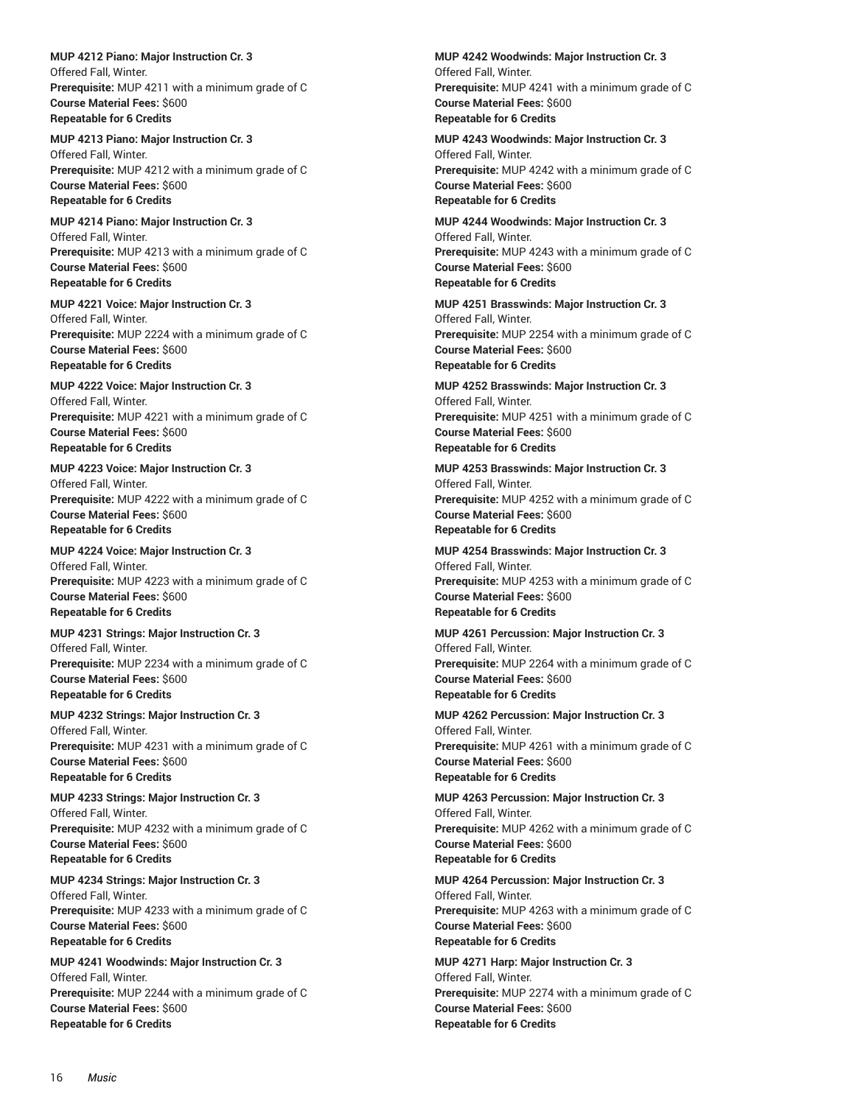**MUP 4212 Piano: Major Instruction Cr. 3** Offered Fall, Winter. **Prerequisite:** MUP 4211 with a minimum grade of C **Course Material Fees:** \$600 **Repeatable for 6 Credits**

**MUP 4213 Piano: Major Instruction Cr. 3** Offered Fall, Winter. **Prerequisite:** MUP 4212 with a minimum grade of C **Course Material Fees:** \$600 **Repeatable for 6 Credits**

**MUP 4214 Piano: Major Instruction Cr. 3** Offered Fall, Winter. **Prerequisite:** MUP 4213 with a minimum grade of C **Course Material Fees:** \$600 **Repeatable for 6 Credits**

**MUP 4221 Voice: Major Instruction Cr. 3** Offered Fall, Winter. **Prerequisite:** MUP 2224 with a minimum grade of C **Course Material Fees:** \$600 **Repeatable for 6 Credits**

**MUP 4222 Voice: Major Instruction Cr. 3** Offered Fall, Winter. **Prerequisite:** MUP 4221 with a minimum grade of C **Course Material Fees:** \$600 **Repeatable for 6 Credits**

**MUP 4223 Voice: Major Instruction Cr. 3** Offered Fall, Winter. **Prerequisite:** MUP 4222 with a minimum grade of C **Course Material Fees:** \$600 **Repeatable for 6 Credits**

**MUP 4224 Voice: Major Instruction Cr. 3** Offered Fall, Winter. **Prerequisite:** MUP 4223 with a minimum grade of C **Course Material Fees:** \$600 **Repeatable for 6 Credits**

**MUP 4231 Strings: Major Instruction Cr. 3** Offered Fall, Winter. **Prerequisite:** MUP 2234 with a minimum grade of C **Course Material Fees:** \$600 **Repeatable for 6 Credits**

**MUP 4232 Strings: Major Instruction Cr. 3** Offered Fall, Winter. **Prerequisite:** MUP 4231 with a minimum grade of C **Course Material Fees:** \$600 **Repeatable for 6 Credits**

**MUP 4233 Strings: Major Instruction Cr. 3** Offered Fall, Winter. **Prerequisite:** MUP 4232 with a minimum grade of C **Course Material Fees:** \$600 **Repeatable for 6 Credits**

**MUP 4234 Strings: Major Instruction Cr. 3** Offered Fall, Winter. **Prerequisite:** MUP 4233 with a minimum grade of C **Course Material Fees:** \$600 **Repeatable for 6 Credits**

**MUP 4241 Woodwinds: Major Instruction Cr. 3** Offered Fall, Winter. **Prerequisite:** MUP 2244 with a minimum grade of C **Course Material Fees:** \$600 **Repeatable for 6 Credits**

**MUP 4242 Woodwinds: Major Instruction Cr. 3** Offered Fall, Winter. **Prerequisite:** MUP 4241 with a minimum grade of C **Course Material Fees:** \$600 **Repeatable for 6 Credits**

**MUP 4243 Woodwinds: Major Instruction Cr. 3** Offered Fall, Winter. **Prerequisite:** MUP 4242 with a minimum grade of C **Course Material Fees:** \$600 **Repeatable for 6 Credits**

**MUP 4244 Woodwinds: Major Instruction Cr. 3** Offered Fall, Winter. **Prerequisite:** MUP 4243 with a minimum grade of C **Course Material Fees:** \$600 **Repeatable for 6 Credits**

**MUP 4251 Brasswinds: Major Instruction Cr. 3** Offered Fall, Winter. **Prerequisite:** MUP 2254 with a minimum grade of C **Course Material Fees:** \$600 **Repeatable for 6 Credits**

**MUP 4252 Brasswinds: Major Instruction Cr. 3** Offered Fall, Winter. **Prerequisite:** MUP 4251 with a minimum grade of C **Course Material Fees:** \$600 **Repeatable for 6 Credits**

**MUP 4253 Brasswinds: Major Instruction Cr. 3** Offered Fall, Winter. **Prerequisite:** MUP 4252 with a minimum grade of C **Course Material Fees:** \$600 **Repeatable for 6 Credits**

**MUP 4254 Brasswinds: Major Instruction Cr. 3** Offered Fall, Winter. **Prerequisite:** MUP 4253 with a minimum grade of C **Course Material Fees:** \$600 **Repeatable for 6 Credits**

**MUP 4261 Percussion: Major Instruction Cr. 3** Offered Fall, Winter. **Prerequisite:** MUP 2264 with a minimum grade of C **Course Material Fees:** \$600 **Repeatable for 6 Credits**

**MUP 4262 Percussion: Major Instruction Cr. 3** Offered Fall, Winter. **Prerequisite:** MUP 4261 with a minimum grade of C **Course Material Fees:** \$600 **Repeatable for 6 Credits**

**MUP 4263 Percussion: Major Instruction Cr. 3** Offered Fall, Winter. **Prerequisite:** MUP 4262 with a minimum grade of C **Course Material Fees:** \$600 **Repeatable for 6 Credits**

**MUP 4264 Percussion: Major Instruction Cr. 3** Offered Fall, Winter. **Prerequisite:** MUP 4263 with a minimum grade of C **Course Material Fees:** \$600 **Repeatable for 6 Credits**

**MUP 4271 Harp: Major Instruction Cr. 3** Offered Fall, Winter. **Prerequisite:** MUP 2274 with a minimum grade of C **Course Material Fees:** \$600 **Repeatable for 6 Credits**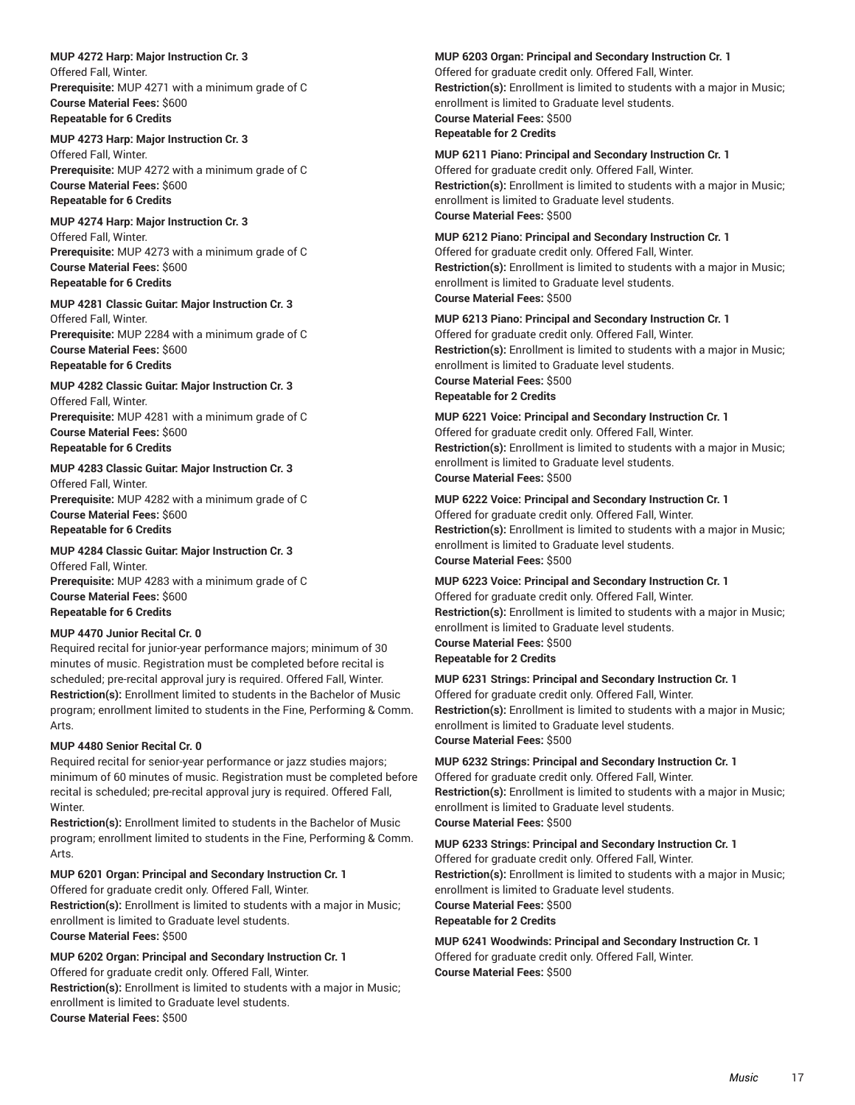**MUP 4272 Harp: Major Instruction Cr. 3** Offered Fall, Winter. **Prerequisite:** MUP 4271 with a minimum grade of C **Course Material Fees:** \$600 **Repeatable for 6 Credits**

### **MUP 4273 Harp: Major Instruction Cr. 3**

Offered Fall, Winter. **Prerequisite:** MUP 4272 with a minimum grade of C **Course Material Fees:** \$600 **Repeatable for 6 Credits**

### **MUP 4274 Harp: Major Instruction Cr. 3**

Offered Fall, Winter. **Prerequisite:** MUP 4273 with a minimum grade of C **Course Material Fees:** \$600 **Repeatable for 6 Credits**

#### **MUP 4281 Classic Guitar: Major Instruction Cr. 3**

Offered Fall, Winter. **Prerequisite:** MUP 2284 with a minimum grade of C **Course Material Fees:** \$600 **Repeatable for 6 Credits**

#### **MUP 4282 Classic Guitar: Major Instruction Cr. 3**

Offered Fall, Winter. **Prerequisite:** MUP 4281 with a minimum grade of C **Course Material Fees:** \$600 **Repeatable for 6 Credits**

### **MUP 4283 Classic Guitar: Major Instruction Cr. 3** Offered Fall, Winter.

**Prerequisite:** MUP 4282 with a minimum grade of C **Course Material Fees:** \$600 **Repeatable for 6 Credits**

### **MUP 4284 Classic Guitar: Major Instruction Cr. 3**

Offered Fall, Winter. **Prerequisite:** MUP 4283 with a minimum grade of C **Course Material Fees:** \$600 **Repeatable for 6 Credits**

### **MUP 4470 Junior Recital Cr. 0**

Required recital for junior-year performance majors; minimum of 30 minutes of music. Registration must be completed before recital is scheduled; pre-recital approval jury is required. Offered Fall, Winter. **Restriction(s):** Enrollment limited to students in the Bachelor of Music program; enrollment limited to students in the Fine, Performing & Comm. Arts.

### **MUP 4480 Senior Recital Cr. 0**

Required recital for senior-year performance or jazz studies majors; minimum of 60 minutes of music. Registration must be completed before recital is scheduled; pre-recital approval jury is required. Offered Fall, Winter.

**Restriction(s):** Enrollment limited to students in the Bachelor of Music program; enrollment limited to students in the Fine, Performing & Comm. Arts.

### **MUP 6201 Organ: Principal and Secondary Instruction Cr. 1**

Offered for graduate credit only. Offered Fall, Winter. **Restriction(s):** Enrollment is limited to students with a major in Music; enrollment is limited to Graduate level students. **Course Material Fees:** \$500

### **MUP 6202 Organ: Principal and Secondary Instruction Cr. 1**

Offered for graduate credit only. Offered Fall, Winter. **Restriction(s):** Enrollment is limited to students with a major in Music; enrollment is limited to Graduate level students. **Course Material Fees:** \$500

#### **MUP 6203 Organ: Principal and Secondary Instruction Cr. 1**

Offered for graduate credit only. Offered Fall, Winter. **Restriction(s):** Enrollment is limited to students with a major in Music; enrollment is limited to Graduate level students. **Course Material Fees:** \$500 **Repeatable for 2 Credits**

### **MUP 6211 Piano: Principal and Secondary Instruction Cr. 1**

Offered for graduate credit only. Offered Fall, Winter. **Restriction(s):** Enrollment is limited to students with a major in Music; enrollment is limited to Graduate level students. **Course Material Fees:** \$500

### **MUP 6212 Piano: Principal and Secondary Instruction Cr. 1**

Offered for graduate credit only. Offered Fall, Winter. **Restriction(s):** Enrollment is limited to students with a major in Music; enrollment is limited to Graduate level students. **Course Material Fees:** \$500

#### **MUP 6213 Piano: Principal and Secondary Instruction Cr. 1**

Offered for graduate credit only. Offered Fall, Winter. **Restriction(s):** Enrollment is limited to students with a major in Music; enrollment is limited to Graduate level students. **Course Material Fees:** \$500 **Repeatable for 2 Credits**

### **MUP 6221 Voice: Principal and Secondary Instruction Cr. 1** Offered for graduate credit only. Offered Fall, Winter. **Restriction(s):** Enrollment is limited to students with a major in Music; enrollment is limited to Graduate level students. **Course Material Fees:** \$500

### **MUP 6222 Voice: Principal and Secondary Instruction Cr. 1**

Offered for graduate credit only. Offered Fall, Winter. **Restriction(s):** Enrollment is limited to students with a major in Music; enrollment is limited to Graduate level students. **Course Material Fees:** \$500

### **MUP 6223 Voice: Principal and Secondary Instruction Cr. 1**

Offered for graduate credit only. Offered Fall, Winter. **Restriction(s):** Enrollment is limited to students with a major in Music; enrollment is limited to Graduate level students. **Course Material Fees:** \$500 **Repeatable for 2 Credits**

### **MUP 6231 Strings: Principal and Secondary Instruction Cr. 1**

Offered for graduate credit only. Offered Fall, Winter. **Restriction(s):** Enrollment is limited to students with a major in Music; enrollment is limited to Graduate level students. **Course Material Fees:** \$500

### **MUP 6232 Strings: Principal and Secondary Instruction Cr. 1** Offered for graduate credit only. Offered Fall, Winter.

**Restriction(s):** Enrollment is limited to students with a major in Music; enrollment is limited to Graduate level students. **Course Material Fees:** \$500

### **MUP 6233 Strings: Principal and Secondary Instruction Cr. 1**

Offered for graduate credit only. Offered Fall, Winter. **Restriction(s):** Enrollment is limited to students with a major in Music; enrollment is limited to Graduate level students.

**Course Material Fees:** \$500

### **Repeatable for 2 Credits**

**MUP 6241 Woodwinds: Principal and Secondary Instruction Cr. 1** Offered for graduate credit only. Offered Fall, Winter. **Course Material Fees:** \$500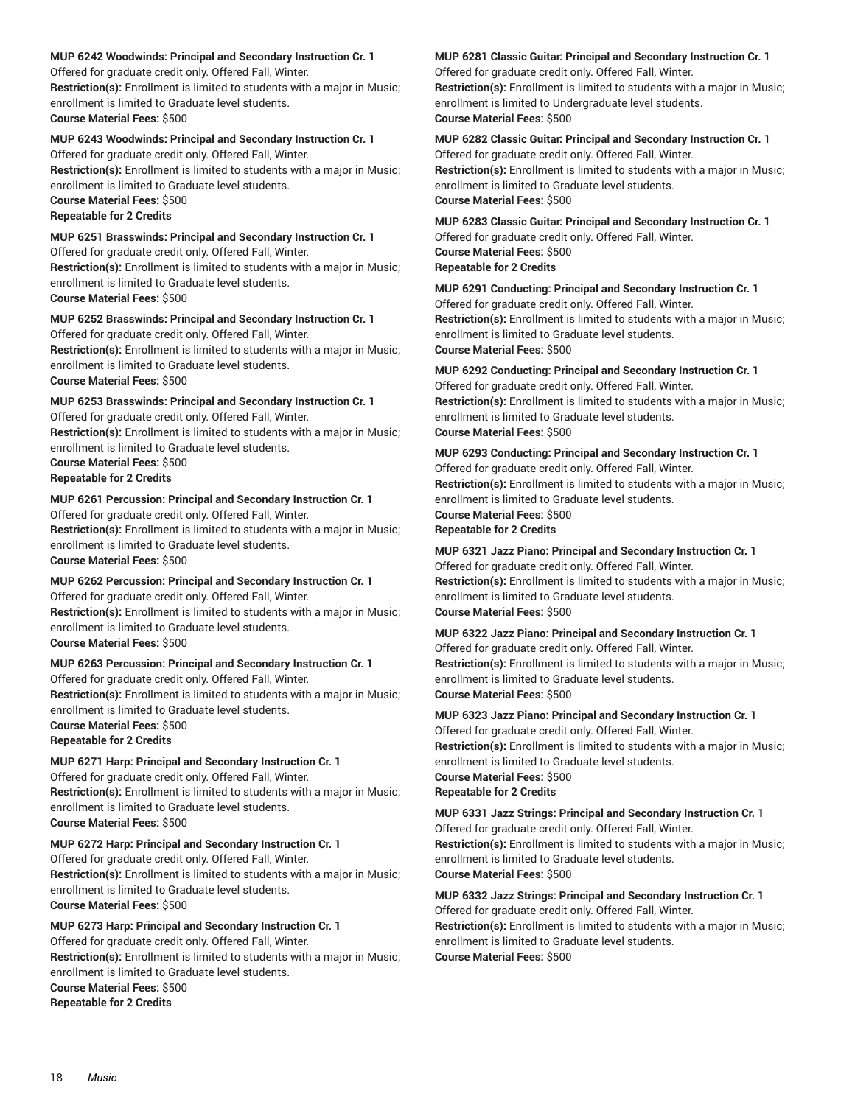#### **MUP 6242 Woodwinds: Principal and Secondary Instruction Cr. 1**

Offered for graduate credit only. Offered Fall, Winter. **Restriction(s):** Enrollment is limited to students with a major in Music; enrollment is limited to Graduate level students. **Course Material Fees:** \$500

### **MUP 6243 Woodwinds: Principal and Secondary Instruction Cr. 1**

Offered for graduate credit only. Offered Fall, Winter. **Restriction(s):** Enrollment is limited to students with a major in Music; enrollment is limited to Graduate level students.

**Course Material Fees:** \$500 **Repeatable for 2 Credits**

### **MUP 6251 Brasswinds: Principal and Secondary Instruction Cr. 1**

Offered for graduate credit only. Offered Fall, Winter. **Restriction(s):** Enrollment is limited to students with a major in Music; enrollment is limited to Graduate level students.

**Course Material Fees:** \$500

### **MUP 6252 Brasswinds: Principal and Secondary Instruction Cr. 1**

Offered for graduate credit only. Offered Fall, Winter. **Restriction(s):** Enrollment is limited to students with a major in Music; enrollment is limited to Graduate level students. **Course Material Fees:** \$500

### **MUP 6253 Brasswinds: Principal and Secondary Instruction Cr. 1**

Offered for graduate credit only. Offered Fall, Winter.

**Restriction(s):** Enrollment is limited to students with a major in Music; enrollment is limited to Graduate level students.

**Course Material Fees:** \$500

**Repeatable for 2 Credits**

### **MUP 6261 Percussion: Principal and Secondary Instruction Cr. 1**

Offered for graduate credit only. Offered Fall, Winter. **Restriction(s):** Enrollment is limited to students with a major in Music; enrollment is limited to Graduate level students. **Course Material Fees:** \$500

### **MUP 6262 Percussion: Principal and Secondary Instruction Cr. 1**

Offered for graduate credit only. Offered Fall, Winter. **Restriction(s):** Enrollment is limited to students with a major in Music; enrollment is limited to Graduate level students. **Course Material Fees:** \$500

### **MUP 6263 Percussion: Principal and Secondary Instruction Cr. 1**

Offered for graduate credit only. Offered Fall, Winter. **Restriction(s):** Enrollment is limited to students with a major in Music; enrollment is limited to Graduate level students.

**Course Material Fees:** \$500

**Repeatable for 2 Credits**

### **MUP 6271 Harp: Principal and Secondary Instruction Cr. 1**

Offered for graduate credit only. Offered Fall, Winter. **Restriction(s):** Enrollment is limited to students with a major in Music; enrollment is limited to Graduate level students. **Course Material Fees:** \$500

### **MUP 6272 Harp: Principal and Secondary Instruction Cr. 1**

Offered for graduate credit only. Offered Fall, Winter. **Restriction(s):** Enrollment is limited to students with a major in Music; enrollment is limited to Graduate level students. **Course Material Fees:** \$500

### **MUP 6273 Harp: Principal and Secondary Instruction Cr. 1**

Offered for graduate credit only. Offered Fall, Winter. **Restriction(s):** Enrollment is limited to students with a major in Music; enrollment is limited to Graduate level students.

**Course Material Fees:** \$500

**Repeatable for 2 Credits**

### **MUP 6281 Classic Guitar: Principal and Secondary Instruction Cr. 1**

Offered for graduate credit only. Offered Fall, Winter.

**Restriction(s):** Enrollment is limited to students with a major in Music; enrollment is limited to Undergraduate level students. **Course Material Fees:** \$500

### **MUP 6282 Classic Guitar: Principal and Secondary Instruction Cr. 1**

Offered for graduate credit only. Offered Fall, Winter. **Restriction(s):** Enrollment is limited to students with a major in Music; enrollment is limited to Graduate level students. **Course Material Fees:** \$500

### **MUP 6283 Classic Guitar: Principal and Secondary Instruction Cr. 1** Offered for graduate credit only. Offered Fall, Winter.

**Course Material Fees:** \$500

### **Repeatable for 2 Credits**

**MUP 6291 Conducting: Principal and Secondary Instruction Cr. 1** Offered for graduate credit only. Offered Fall, Winter.

**Restriction(s):** Enrollment is limited to students with a major in Music; enrollment is limited to Graduate level students. **Course Material Fees:** \$500

### **MUP 6292 Conducting: Principal and Secondary Instruction Cr. 1**

Offered for graduate credit only. Offered Fall, Winter. **Restriction(s):** Enrollment is limited to students with a major in Music; enrollment is limited to Graduate level students. **Course Material Fees:** \$500

### **MUP 6293 Conducting: Principal and Secondary Instruction Cr. 1** Offered for graduate credit only. Offered Fall, Winter.

**Restriction(s):** Enrollment is limited to students with a major in Music; enrollment is limited to Graduate level students.

**Course Material Fees:** \$500 **Repeatable for 2 Credits**

### **MUP 6321 Jazz Piano: Principal and Secondary Instruction Cr. 1**

Offered for graduate credit only. Offered Fall, Winter. **Restriction(s):** Enrollment is limited to students with a major in Music; enrollment is limited to Graduate level students. **Course Material Fees:** \$500

### **MUP 6322 Jazz Piano: Principal and Secondary Instruction Cr. 1**

Offered for graduate credit only. Offered Fall, Winter. **Restriction(s):** Enrollment is limited to students with a major in Music; enrollment is limited to Graduate level students. **Course Material Fees:** \$500

### **MUP 6323 Jazz Piano: Principal and Secondary Instruction Cr. 1**

Offered for graduate credit only. Offered Fall, Winter. **Restriction(s):** Enrollment is limited to students with a major in Music; enrollment is limited to Graduate level students. **Course Material Fees:** \$500 **Repeatable for 2 Credits**

### **MUP 6331 Jazz Strings: Principal and Secondary Instruction Cr. 1**

Offered for graduate credit only. Offered Fall, Winter. **Restriction(s):** Enrollment is limited to students with a major in Music; enrollment is limited to Graduate level students. **Course Material Fees:** \$500

### **MUP 6332 Jazz Strings: Principal and Secondary Instruction Cr. 1**

Offered for graduate credit only. Offered Fall, Winter.

**Restriction(s):** Enrollment is limited to students with a major in Music; enrollment is limited to Graduate level students.

**Course Material Fees:** \$500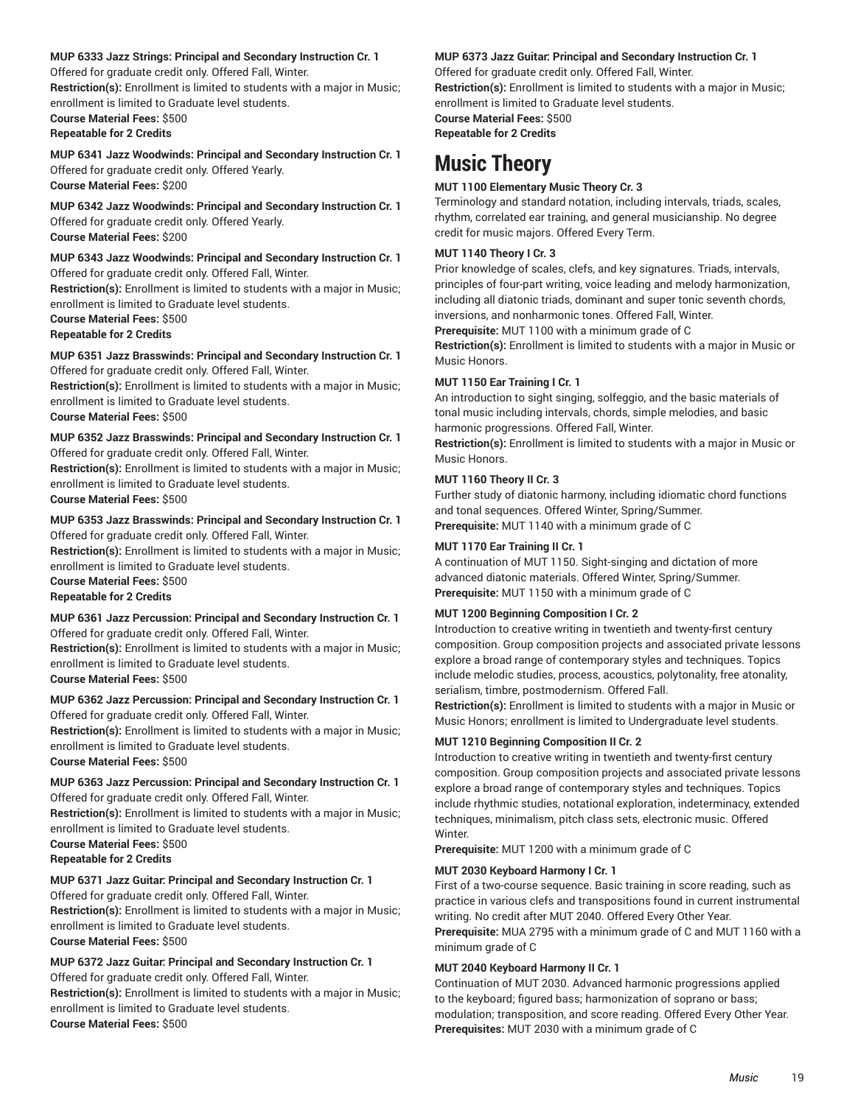#### **MUP 6333 Jazz Strings: Principal and Secondary Instruction Cr. 1**

Offered for graduate credit only. Offered Fall, Winter.

**Restriction(s):** Enrollment is limited to students with a major in Music; enrollment is limited to Graduate level students.

**Course Material Fees:** \$500

### **Repeatable for 2 Credits**

**MUP 6341 Jazz Woodwinds: Principal and Secondary Instruction Cr. 1** Offered for graduate credit only. Offered Yearly. **Course Material Fees:** \$200

### **MUP 6342 Jazz Woodwinds: Principal and Secondary Instruction Cr. 1** Offered for graduate credit only. Offered Yearly. **Course Material Fees:** \$200

### **MUP 6343 Jazz Woodwinds: Principal and Secondary Instruction Cr. 1**

Offered for graduate credit only. Offered Fall, Winter. **Restriction(s):** Enrollment is limited to students with a major in Music;

enrollment is limited to Graduate level students.

**Course Material Fees:** \$500

### **Repeatable for 2 Credits**

**MUP 6351 Jazz Brasswinds: Principal and Secondary Instruction Cr. 1** Offered for graduate credit only. Offered Fall, Winter.

**Restriction(s):** Enrollment is limited to students with a major in Music; enrollment is limited to Graduate level students.

### **Course Material Fees:** \$500

### **MUP 6352 Jazz Brasswinds: Principal and Secondary Instruction Cr. 1**

Offered for graduate credit only. Offered Fall, Winter. **Restriction(s):** Enrollment is limited to students with a major in Music; enrollment is limited to Graduate level students. **Course Material Fees:** \$500

### **MUP 6353 Jazz Brasswinds: Principal and Secondary Instruction Cr. 1** Offered for graduate credit only. Offered Fall, Winter.

**Restriction(s):** Enrollment is limited to students with a major in Music; enrollment is limited to Graduate level students.

**Course Material Fees:** \$500 **Repeatable for 2 Credits**

### **MUP 6361 Jazz Percussion: Principal and Secondary Instruction Cr. 1**

Offered for graduate credit only. Offered Fall, Winter. **Restriction(s):** Enrollment is limited to students with a major in Music;

enrollment is limited to Graduate level students. **Course Material Fees:** \$500

### **MUP 6362 Jazz Percussion: Principal and Secondary Instruction Cr. 1** Offered for graduate credit only. Offered Fall, Winter.

**Restriction(s):** Enrollment is limited to students with a major in Music; enrollment is limited to Graduate level students.

**Course Material Fees:** \$500

### **MUP 6363 Jazz Percussion: Principal and Secondary Instruction Cr. 1** Offered for graduate credit only. Offered Fall, Winter.

**Restriction(s):** Enrollment is limited to students with a major in Music; enrollment is limited to Graduate level students.

**Course Material Fees:** \$500

**Repeatable for 2 Credits**

### **MUP 6371 Jazz Guitar: Principal and Secondary Instruction Cr. 1**

Offered for graduate credit only. Offered Fall, Winter. **Restriction(s):** Enrollment is limited to students with a major in Music; enrollment is limited to Graduate level students. **Course Material Fees:** \$500

### **MUP 6372 Jazz Guitar: Principal and Secondary Instruction Cr. 1**

Offered for graduate credit only. Offered Fall, Winter. **Restriction(s):** Enrollment is limited to students with a major in Music; enrollment is limited to Graduate level students. **Course Material Fees:** \$500

#### **MUP 6373 Jazz Guitar: Principal and Secondary Instruction Cr. 1**

Offered for graduate credit only. Offered Fall, Winter.

**Restriction(s):** Enrollment is limited to students with a major in Music; enrollment is limited to Graduate level students. **Course Material Fees:** \$500

<span id="page-18-0"></span>**Repeatable for 2 Credits**

# **Music Theory**

### **MUT 1100 Elementary Music Theory Cr. 3**

Terminology and standard notation, including intervals, triads, scales, rhythm, correlated ear training, and general musicianship. No degree credit for music majors. Offered Every Term.

### **MUT 1140 Theory I Cr. 3**

Prior knowledge of scales, clefs, and key signatures. Triads, intervals, principles of four-part writing, voice leading and melody harmonization, including all diatonic triads, dominant and super tonic seventh chords, inversions, and nonharmonic tones. Offered Fall, Winter.

**Prerequisite:** MUT 1100 with a minimum grade of C

**Restriction(s):** Enrollment is limited to students with a major in Music or Music Honors.

### **MUT 1150 Ear Training I Cr. 1**

An introduction to sight singing, solfeggio, and the basic materials of tonal music including intervals, chords, simple melodies, and basic harmonic progressions. Offered Fall, Winter.

**Restriction(s):** Enrollment is limited to students with a major in Music or Music Honors.

### **MUT 1160 Theory II Cr. 3**

Further study of diatonic harmony, including idiomatic chord functions and tonal sequences. Offered Winter, Spring/Summer. **Prerequisite:** MUT 1140 with a minimum grade of C

### **MUT 1170 Ear Training II Cr. 1**

A continuation of MUT 1150. Sight-singing and dictation of more advanced diatonic materials. Offered Winter, Spring/Summer. **Prerequisite:** MUT 1150 with a minimum grade of C

### **MUT 1200 Beginning Composition I Cr. 2**

Introduction to creative writing in twentieth and twenty-first century composition. Group composition projects and associated private lessons explore a broad range of contemporary styles and techniques. Topics include melodic studies, process, acoustics, polytonality, free atonality, serialism, timbre, postmodernism. Offered Fall.

**Restriction(s):** Enrollment is limited to students with a major in Music or Music Honors; enrollment is limited to Undergraduate level students.

### **MUT 1210 Beginning Composition II Cr. 2**

Introduction to creative writing in twentieth and twenty-first century composition. Group composition projects and associated private lessons explore a broad range of contemporary styles and techniques. Topics include rhythmic studies, notational exploration, indeterminacy, extended techniques, minimalism, pitch class sets, electronic music. Offered Winter.

**Prerequisite:** MUT 1200 with a minimum grade of C

### **MUT 2030 Keyboard Harmony I Cr. 1**

First of a two-course sequence. Basic training in score reading, such as practice in various clefs and transpositions found in current instrumental writing. No credit after MUT 2040. Offered Every Other Year. **Prerequisite:** MUA 2795 with a minimum grade of C and MUT 1160 with a minimum grade of C

### **MUT 2040 Keyboard Harmony II Cr. 1**

Continuation of MUT 2030. Advanced harmonic progressions applied to the keyboard; figured bass; harmonization of soprano or bass; modulation; transposition, and score reading. Offered Every Other Year. **Prerequisites:** MUT 2030 with a minimum grade of C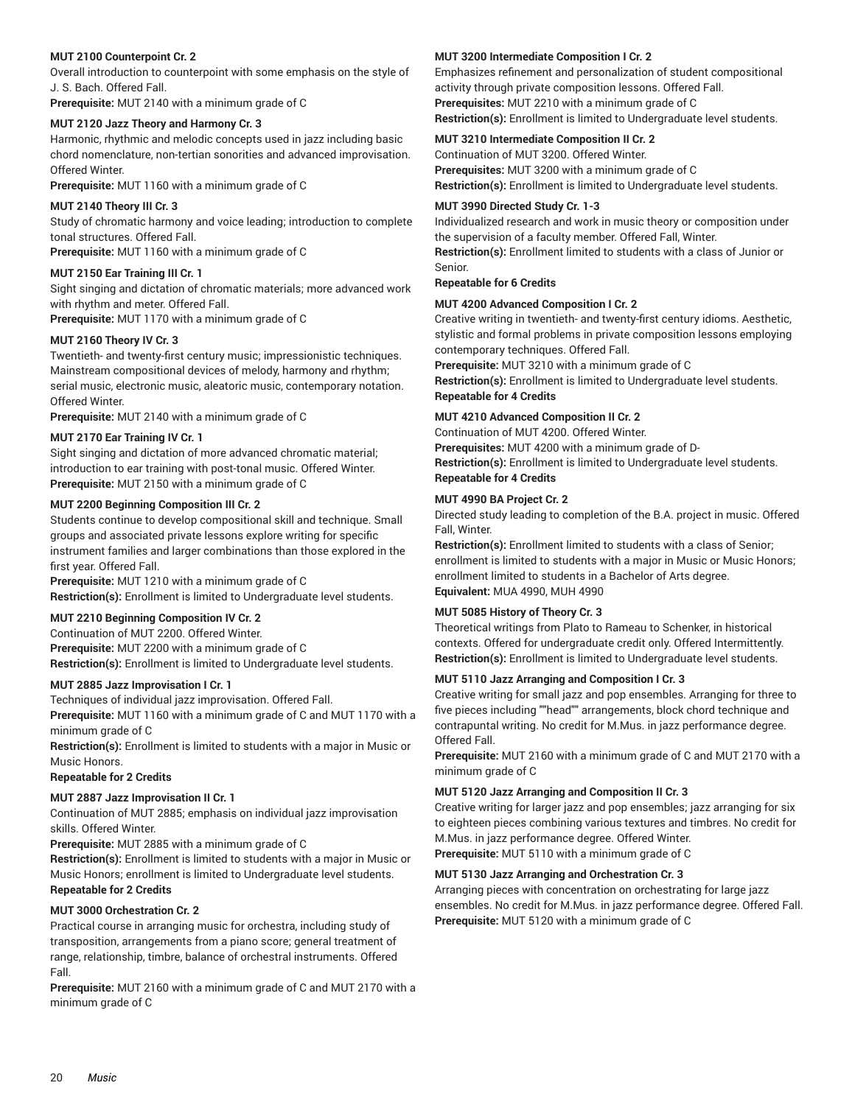### **MUT 2100 Counterpoint Cr. 2**

Overall introduction to counterpoint with some emphasis on the style of J. S. Bach. Offered Fall.

**Prerequisite:** MUT 2140 with a minimum grade of C

### **MUT 2120 Jazz Theory and Harmony Cr. 3**

Harmonic, rhythmic and melodic concepts used in jazz including basic chord nomenclature, non-tertian sonorities and advanced improvisation. Offered Winter.

**Prerequisite:** MUT 1160 with a minimum grade of C

### **MUT 2140 Theory III Cr. 3**

Study of chromatic harmony and voice leading; introduction to complete tonal structures. Offered Fall.

**Prerequisite:** MUT 1160 with a minimum grade of C

### **MUT 2150 Ear Training III Cr. 1**

Sight singing and dictation of chromatic materials; more advanced work with rhythm and meter. Offered Fall.

**Prerequisite:** MUT 1170 with a minimum grade of C

### **MUT 2160 Theory IV Cr. 3**

Twentieth- and twenty-first century music; impressionistic techniques. Mainstream compositional devices of melody, harmony and rhythm; serial music, electronic music, aleatoric music, contemporary notation. Offered Winter.

**Prerequisite:** MUT 2140 with a minimum grade of C

### **MUT 2170 Ear Training IV Cr. 1**

Sight singing and dictation of more advanced chromatic material; introduction to ear training with post-tonal music. Offered Winter. **Prerequisite:** MUT 2150 with a minimum grade of C

### **MUT 2200 Beginning Composition III Cr. 2**

Students continue to develop compositional skill and technique. Small groups and associated private lessons explore writing for specific instrument families and larger combinations than those explored in the first year. Offered Fall.

**Prerequisite:** MUT 1210 with a minimum grade of C **Restriction(s):** Enrollment is limited to Undergraduate level students.

#### **MUT 2210 Beginning Composition IV Cr. 2**

Continuation of MUT 2200. Offered Winter. **Prerequisite:** MUT 2200 with a minimum grade of C **Restriction(s):** Enrollment is limited to Undergraduate level students.

#### **MUT 2885 Jazz Improvisation I Cr. 1**

Techniques of individual jazz improvisation. Offered Fall. **Prerequisite:** MUT 1160 with a minimum grade of C and MUT 1170 with a minimum grade of C

**Restriction(s):** Enrollment is limited to students with a major in Music or Music Honors.

#### **Repeatable for 2 Credits**

### **MUT 2887 Jazz Improvisation II Cr. 1**

Continuation of MUT 2885; emphasis on individual jazz improvisation skills. Offered Winter.

**Prerequisite:** MUT 2885 with a minimum grade of C

**Restriction(s):** Enrollment is limited to students with a major in Music or Music Honors; enrollment is limited to Undergraduate level students. **Repeatable for 2 Credits**

### **MUT 3000 Orchestration Cr. 2**

Practical course in arranging music for orchestra, including study of transposition, arrangements from a piano score; general treatment of range, relationship, timbre, balance of orchestral instruments. Offered Fall.

**Prerequisite:** MUT 2160 with a minimum grade of C and MUT 2170 with a minimum grade of C

#### **MUT 3200 Intermediate Composition I Cr. 2**

Emphasizes refinement and personalization of student compositional activity through private composition lessons. Offered Fall. **Prerequisites:** MUT 2210 with a minimum grade of C **Restriction(s):** Enrollment is limited to Undergraduate level students.

### **MUT 3210 Intermediate Composition II Cr. 2**

Continuation of MUT 3200. Offered Winter. **Prerequisites:** MUT 3200 with a minimum grade of C **Restriction(s):** Enrollment is limited to Undergraduate level students.

### **MUT 3990 Directed Study Cr. 1-3**

Individualized research and work in music theory or composition under the supervision of a faculty member. Offered Fall, Winter. **Restriction(s):** Enrollment limited to students with a class of Junior or Senior.

#### **Repeatable for 6 Credits**

### **MUT 4200 Advanced Composition I Cr. 2**

Creative writing in twentieth- and twenty-first century idioms. Aesthetic, stylistic and formal problems in private composition lessons employing contemporary techniques. Offered Fall.

**Prerequisite:** MUT 3210 with a minimum grade of C

**Restriction(s):** Enrollment is limited to Undergraduate level students. **Repeatable for 4 Credits**

### **MUT 4210 Advanced Composition II Cr. 2**

Continuation of MUT 4200. Offered Winter. **Prerequisites:** MUT 4200 with a minimum grade of D-**Restriction(s):** Enrollment is limited to Undergraduate level students. **Repeatable for 4 Credits**

### **MUT 4990 BA Project Cr. 2**

Directed study leading to completion of the B.A. project in music. Offered Fall, Winter.

**Restriction(s):** Enrollment limited to students with a class of Senior; enrollment is limited to students with a major in Music or Music Honors; enrollment limited to students in a Bachelor of Arts degree. **Equivalent:** MUA 4990, MUH 4990

### **MUT 5085 History of Theory Cr. 3**

Theoretical writings from Plato to Rameau to Schenker, in historical contexts. Offered for undergraduate credit only. Offered Intermittently. **Restriction(s):** Enrollment is limited to Undergraduate level students.

### **MUT 5110 Jazz Arranging and Composition I Cr. 3**

Creative writing for small jazz and pop ensembles. Arranging for three to five pieces including ""head"" arrangements, block chord technique and contrapuntal writing. No credit for M.Mus. in jazz performance degree. Offered Fall.

**Prerequisite:** MUT 2160 with a minimum grade of C and MUT 2170 with a minimum grade of C

### **MUT 5120 Jazz Arranging and Composition II Cr. 3**

Creative writing for larger jazz and pop ensembles; jazz arranging for six to eighteen pieces combining various textures and timbres. No credit for M.Mus. in jazz performance degree. Offered Winter. **Prerequisite:** MUT 5110 with a minimum grade of C

### **MUT 5130 Jazz Arranging and Orchestration Cr. 3**

Arranging pieces with concentration on orchestrating for large jazz ensembles. No credit for M.Mus. in jazz performance degree. Offered Fall. **Prerequisite:** MUT 5120 with a minimum grade of C